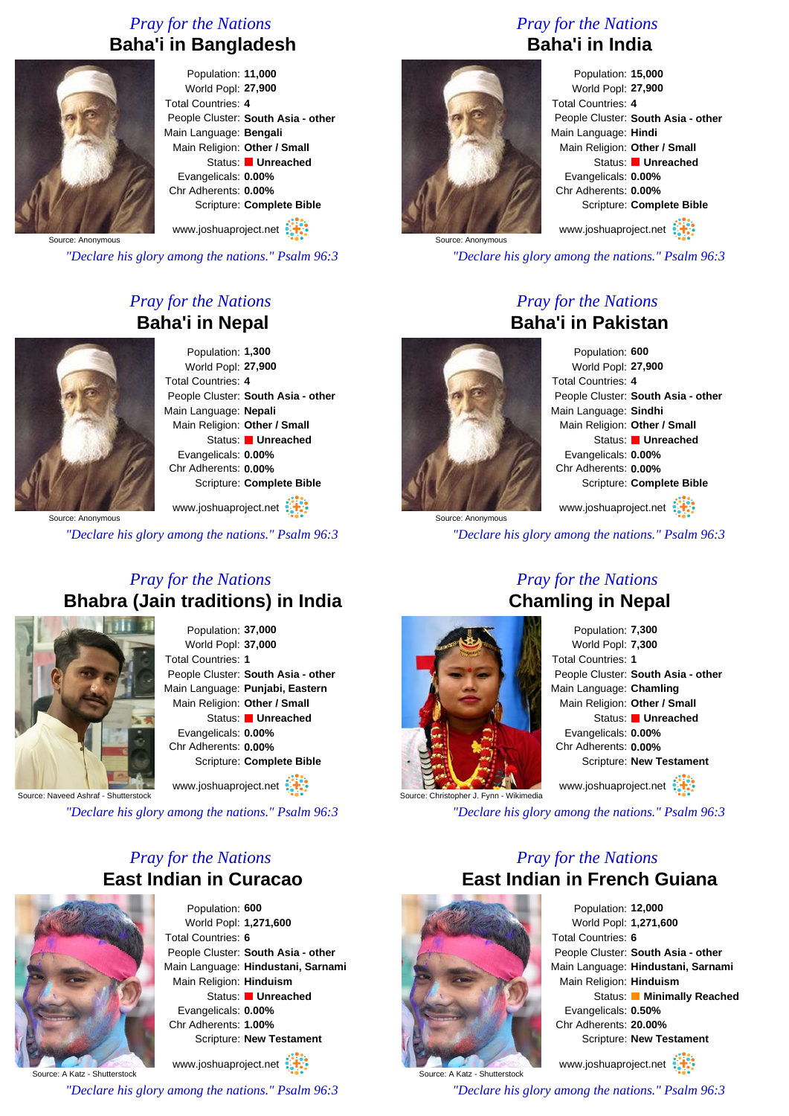### *Pray for the Nations* **Baha'i in Bangladesh**



Population: **11,000** World Popl: **27,900** Total Countries: **4** People Cluster: **South Asia - other** Main Language: **Bengali** Main Religion: **Other / Small** Status: **Unreached** Evangelicals: **0.00%** Chr Adherents: **0.00%** Scripture: **Complete Bible**

Source: Anonymous www.joshuaproject.net

*"Declare his glory among the nations." Psalm 96:3*

### *Pray for the Nations* **Baha'i in Nepal**



Population: **1,300** World Popl: **27,900** Total Countries: **4** People Cluster: **South Asia - other** Main Language: **Nepali** Main Religion: **Other / Small** Status: **Unreached** Evangelicals: **0.00%** Chr Adherents: **0.00%** Scripture: **Complete Bible**

www.joshuaproject.net

*"Declare his glory among the nations." Psalm 96:3*

### *Pray for the Nations* **Bhabra (Jain traditions) in India**



Population: **37,000** World Popl: **37,000** Total Countries: **1** People Cluster: **South Asia - other** Main Language: **Punjabi, Eastern** Main Religion: **Other / Small** Status: **Unreached** Evangelicals: **0.00%** Chr Adherents: **0.00%** Scripture: **Complete Bible** www.joshuaproject.net

Source: Naveed Ashraf - Shutterstock

*"Declare his glory among the nations." Psalm 96:3*

### *Pray for the Nations* **East Indian in Curacao**



Population: **600** World Popl: **1,271,600** Total Countries: **6** People Cluster: **South Asia - other** Main Language: **Hindustani, Sarnami** Main Religion: **Hinduism** Status: **Unreached** Evangelicals: **0.00%** Chr Adherents: **1.00%** Scripture: **New Testament**

www.joshuaproject.net

*"Declare his glory among the nations." Psalm 96:3*

### *Pray for the Nations* **Baha'i in India**



Population: **15,000** World Popl: **27,900** Total Countries: **4** People Cluster: **South Asia - other** Main Language: **Hindi** Main Religion: **Other / Small** Status: **Unreached** Evangelicals: **0.00%** Chr Adherents: **0.00%** Scripture: **Complete Bible**

www.joshuaproject.net

*"Declare his glory among the nations." Psalm 96:3*

### *Pray for the Nations* **Baha'i in Pakistan**



Population: **600** World Popl: **27,900** Total Countries: **4** People Cluster: **South Asia - other** Main Language: **Sindhi** Main Religion: **Other / Small** Status: **Unreached** Evangelicals: **0.00%** Chr Adherents: **0.00%** Scripture: **Complete Bible** www.joshuaproject.net

*"Declare his glory among the nations." Psalm 96:3*

# *Pray for the Nations* **Chamling in Nepal**



Population: **7,300** World Popl: **7,300** Total Countries: **1** People Cluster: **South Asia - other** Main Language: **Chamling** Main Religion: **Other / Small** Status: **Unreached** Evangelicals: **0.00%** Chr Adherents: **0.00%** Scripture: **New Testament** www.joshuaproject.net

*"Declare his glory among the nations." Psalm 96:3*

### *Pray for the Nations* **East Indian in French Guiana**



Source: A Katz - Shutterstock

Population: **12,000** World Popl: **1,271,600** Total Countries: **6** People Cluster: **South Asia - other** Main Language: **Hindustani, Sarnami** Main Religion: **Hinduism** Status: **Minimally Reached** Evangelicals: **0.50%** Chr Adherents: **20.00%** Scripture: **New Testament**

www.joshuaproject.net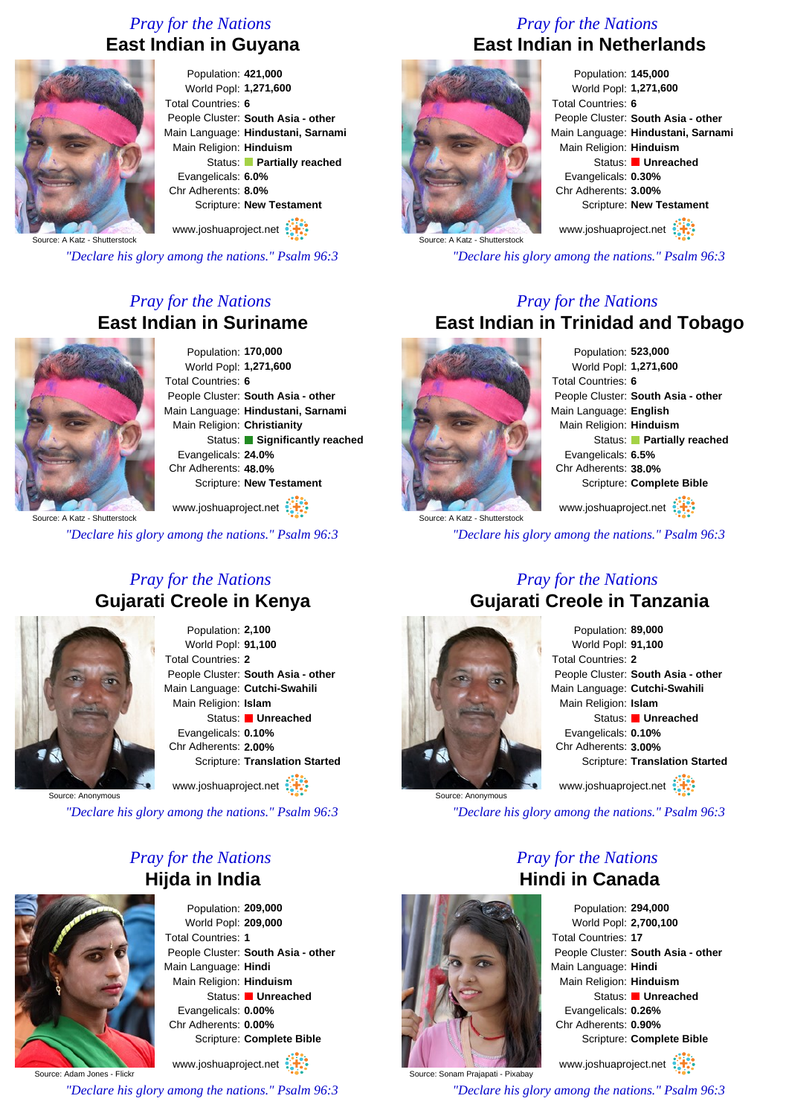### *Pray for the Nations* **East Indian in Guyana**



Population: **421,000** World Popl: **1,271,600** Total Countries: **6** People Cluster: **South Asia - other** Main Language: **Hindustani, Sarnami** Main Religion: **Hinduism** Status: **Partially reached** Evangelicals: **6.0%** Chr Adherents: **8.0%** Scripture: **New Testament** www.joshuaproject.net

Source: A Katz - Shutterstock

*"Declare his glory among the nations." Psalm 96:3*

### *Pray for the Nations* **East Indian in Suriname**



Population: **170,000** World Popl: **1,271,600** Total Countries: **6** People Cluster: **South Asia - other** Main Language: **Hindustani, Sarnami** Main Religion: **Christianity** Status: **Significantly reached** Evangelicals: **24.0%** Chr Adherents: **48.0%** Scripture: **New Testament**

www.joshuaproject.net

*"Declare his glory among the nations." Psalm 96:3*

### *Pray for the Nations* **Gujarati Creole in Kenya**



Population: **2,100** World Popl: **91,100** Total Countries: **2** People Cluster: **South Asia - other** Main Language: **Cutchi-Swahili** Main Religion: **Islam** Status: **Unreached** Evangelicals: **0.10%** Chr Adherents: **2.00%** Scripture: **Translation Started** www.joshuaproject.net

Source: Anonymous

*"Declare his glory among the nations." Psalm 96:3*

### *Pray for the Nations* **Hijda in India**



Population: **209,000** World Popl: **209,000** Total Countries: **1** People Cluster: **South Asia - other** Main Language: **Hindi** Main Religion: **Hinduism** Status: **Unreached** Evangelicals: **0.00%** Chr Adherents: **0.00%** Scripture: **Complete Bible**

www.joshuaproject.net

Source: Adam Jones - Flickr

*"Declare his glory among the nations." Psalm 96:3*

### *Pray for the Nations* **East Indian in Netherlands**



Population: **145,000** World Popl: **1,271,600** Total Countries: **6** People Cluster: **South Asia - other** Main Language: **Hindustani, Sarnami** Main Religion: **Hinduism** Status: **Unreached** Evangelicals: **0.30%** Chr Adherents: **3.00%** Scripture: **New Testament**

www.joshuaproject.net

*"Declare his glory among the nations." Psalm 96:3*

### *Pray for the Nations* **East Indian in Trinidad and Tobago**



Population: **523,000** World Popl: **1,271,600** Total Countries: **6** People Cluster: **South Asia - other** Main Language: **English** Main Religion: **Hinduism** Status: **Partially reached** Evangelicals: **6.5%** Chr Adherents: **38.0%** Scripture: **Complete Bible**

www.joshuaproject.net

*"Declare his glory among the nations." Psalm 96:3*

### *Pray for the Nations* **Gujarati Creole in Tanzania**



Population: **89,000** World Popl: **91,100** Total Countries: **2** People Cluster: **South Asia - other** Main Language: **Cutchi-Swahili** Main Religion: **Islam** Status: **Unreached** Evangelicals: **0.10%** Chr Adherents: **3.00%** Scripture: **Translation Started** www.joshuaproject.net

*"Declare his glory among the nations." Psalm 96:3*

*Pray for the Nations* **Hindi in Canada**

Source: Sonam Prajapati - Pixabay

Population: **294,000** World Popl: **2,700,100** Total Countries: **17** People Cluster: **South Asia - other** Main Language: **Hindi** Main Religion: **Hinduism** Status: **Unreached** Evangelicals: **0.26%** Chr Adherents: **0.90%** Scripture: **Complete Bible**

www.joshuaproject.net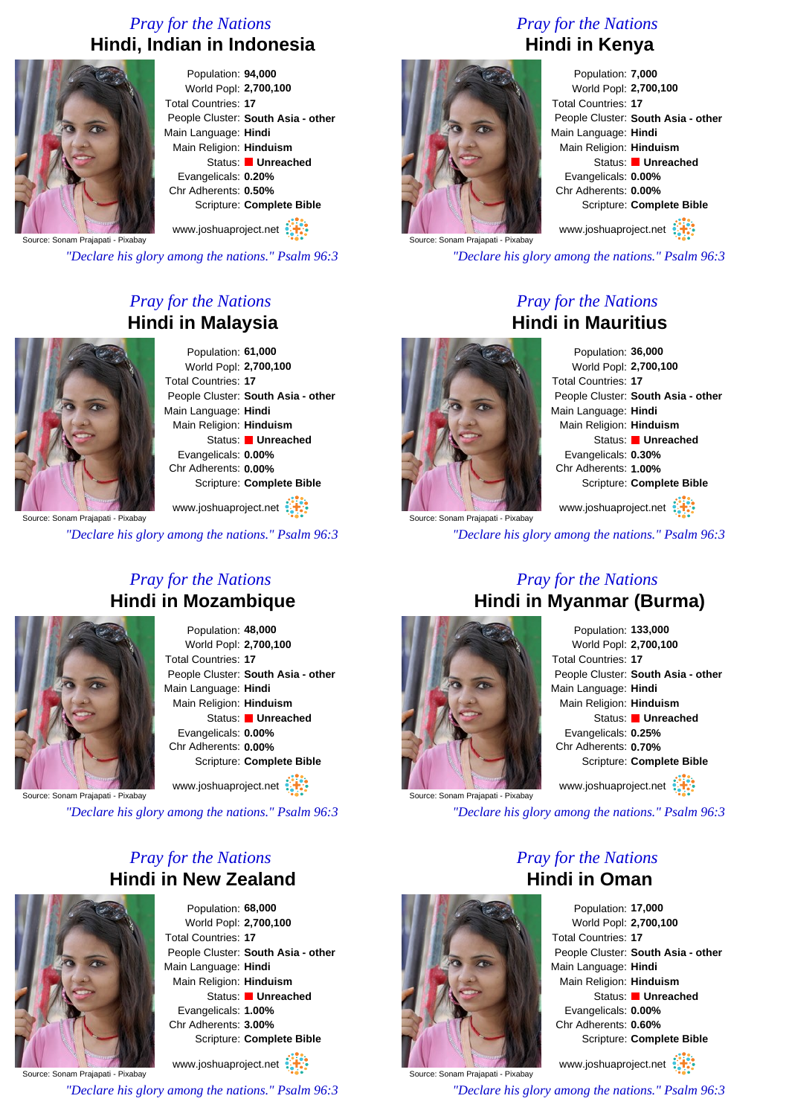### *Pray for the Nations* **Hindi, Indian in Indonesia**



Population: **94,000** World Popl: **2,700,100** Total Countries: **17** People Cluster: **South Asia - other** Main Language: **Hindi** Main Religion: **Hinduism** Status: **Unreached** Evangelicals: **0.20%** Chr Adherents: **0.50%** Scripture: **Complete Bible**

Source: Sonam Prajapati - Pixabay www.joshuaproject.net

*"Declare his glory among the nations." Psalm 96:3*

### *Pray for the Nations* **Hindi in Malaysia**



Population: **61,000** World Popl: **2,700,100** Total Countries: **17** People Cluster: **South Asia - other** Main Language: **Hindi** Main Religion: **Hinduism** Status: **Unreached** Evangelicals: **0.00%** Chr Adherents: **0.00%** Scripture: **Complete Bible**

rce: Sonam Prajapati - Pixabay www.joshuaproject.net

*"Declare his glory among the nations." Psalm 96:3*

### *Pray for the Nations* **Hindi in Mozambique**



Population: **48,000** World Popl: **2,700,100** Total Countries: **17** People Cluster: **South Asia - other** Main Language: **Hindi** Main Religion: **Hinduism** Status: **Unreached** Evangelicals: **0.00%** Chr Adherents: **0.00%** Scripture: **Complete Bible**

www.joshuaproject.net

ajapati - Pixabay

*"Declare his glory among the nations." Psalm 96:3*

### *Pray for the Nations* **Hindi in New Zealand**



Population: **68,000** World Popl: **2,700,100** Total Countries: **17** People Cluster: **South Asia - other** Main Language: **Hindi** Main Religion: **Hinduism** Status: **Unreached** Evangelicals: **1.00%** Chr Adherents: **3.00%** Scripture: **Complete Bible**

Source: Sonam Prajapati - Pixabay www.joshuaproject.net *"Declare his glory among the nations." Psalm 96:3* *Pray for the Nations* **Hindi in Kenya**



Population: **7,000** World Popl: **2,700,100** Total Countries: **17** People Cluster: **South Asia - other** Main Language: **Hindi** Main Religion: **Hinduism** Status: **Unreached** Evangelicals: **0.00%** Chr Adherents: **0.00%** Scripture: **Complete Bible**

www.joshuaproject.net

*"Declare his glory among the nations." Psalm 96:3*

### *Pray for the Nations* **Hindi in Mauritius**



Population: **36,000** World Popl: **2,700,100** Total Countries: **17** People Cluster: **South Asia - other** Main Language: **Hindi** Main Religion: **Hinduism** Status: **Unreached** Evangelicals: **0.30%** Chr Adherents: **1.00%** Scripture: **Complete Bible** www.joshuaproject.net

*"Declare his glory among the nations." Psalm 96:3*

### *Pray for the Nations* **Hindi in Myanmar (Burma)**



Source: Sonam Prajapati - Pixabay

Population: **133,000** World Popl: **2,700,100** Total Countries: **17** People Cluster: **South Asia - other** Main Language: **Hindi** Main Religion: **Hinduism** Status: **Unreached** Evangelicals: **0.25%** Chr Adherents: **0.70%** Scripture: **Complete Bible** www.joshuaproject.net

*"Declare his glory among the nations." Psalm 96:3*

### *Pray for the Nations* **Hindi in Oman**



World Popl: **2,700,100** People Cluster: **South Asia - other** Main Language: **Hindi** Main Religion: **Hinduism** Status: **Unreached** Evangelicals: **0.00%** Chr Adherents: **0.60%** Scripture: **Complete Bible**

www.joshuaproject.net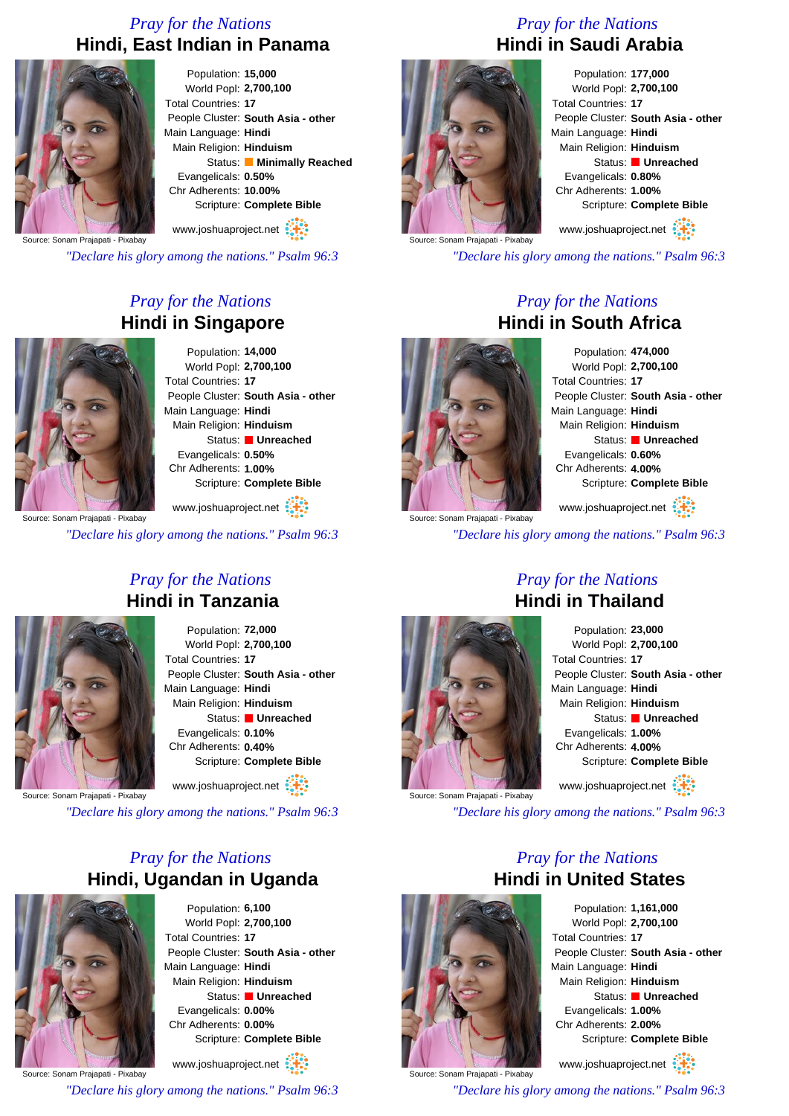### *Pray for the Nations* **Hindi, East Indian in Panama**



Population: **15,000** World Popl: **2,700,100** Total Countries: **17** People Cluster: **South Asia - other** Main Language: **Hindi** Main Religion: **Hinduism** Status: **Minimally Reached** Evangelicals: **0.50%** Chr Adherents: **10.00%** Scripture: **Complete Bible**

www.joshuaproject.net

Source: Sonam Prajapati - Pixabay

*"Declare his glory among the nations." Psalm 96:3*

### *Pray for the Nations* **Hindi in Singapore**



Population: **14,000** World Popl: **2,700,100** Total Countries: **17** People Cluster: **South Asia - other** Main Language: **Hindi** Main Religion: **Hinduism** Status: **Unreached** Evangelicals: **0.50%** Chr Adherents: **1.00%** Scripture: **Complete Bible**

www.joshuaproject.net

*"Declare his glory among the nations." Psalm 96:3*

### *Pray for the Nations* **Hindi in Tanzania**



Population: **72,000** World Popl: **2,700,100** Total Countries: **17** People Cluster: **South Asia - other** Main Language: **Hindi** Main Religion: **Hinduism** Status: **Unreached** Evangelicals: **0.10%** Chr Adherents: **0.40%** Scripture: **Complete Bible**

www.joshuaproject.net

ajapati - Pixabay

*"Declare his glory among the nations." Psalm 96:3*

### *Pray for the Nations* **Hindi, Ugandan in Uganda**



Population: **6,100** World Popl: **2,700,100** Total Countries: **17** People Cluster: **South Asia - other** Main Language: **Hindi** Main Religion: **Hinduism** Status: **Unreached** Evangelicals: **0.00%** Chr Adherents: **0.00%** Scripture: **Complete Bible**

Source: Sonam Prajapati - Pixabay www.joshuaproject.net *"Declare his glory among the nations." Psalm 96:3*

### *Pray for the Nations* **Hindi in Saudi Arabia**



Population: **177,000** World Popl: **2,700,100** Total Countries: **17** People Cluster: **South Asia - other** Main Language: **Hindi** Main Religion: **Hinduism** Status: **Unreached** Evangelicals: **0.80%** Chr Adherents: **1.00%** Scripture: **Complete Bible** www.joshuaproject.net

*"Declare his glory among the nations." Psalm 96:3*

### *Pray for the Nations* **Hindi in South Africa**



Population: **474,000** World Popl: **2,700,100** Total Countries: **17** People Cluster: **South Asia - other** Main Language: **Hindi** Main Religion: **Hinduism** Status: **Unreached** Evangelicals: **0.60%** Chr Adherents: **4.00%** Scripture: **Complete Bible** www.joshuaproject.net

*"Declare his glory among the nations." Psalm 96:3*



### *Pray for the Nations* **Hindi in Thailand**

Population: **23,000** World Popl: **2,700,100** Total Countries: **17** People Cluster: **South Asia - other** Main Language: **Hindi** Main Religion: **Hinduism** Status: **Unreached** Evangelicals: **1.00%** Chr Adherents: **4.00%** Scripture: **Complete Bible** www.joshuaproject.net

*"Declare his glory among the nations." Psalm 96:3*

*Pray for the Nations*



Population: **1,161,000** World Popl: **2,700,100** Total Countries: **17** People Cluster: **South Asia - other** Main Language: **Hindi** Main Religion: **Hinduism** Status: **Unreached** Evangelicals: **1.00%** Chr Adherents: **2.00%** Scripture: **Complete Bible**

www.joshuaproject.net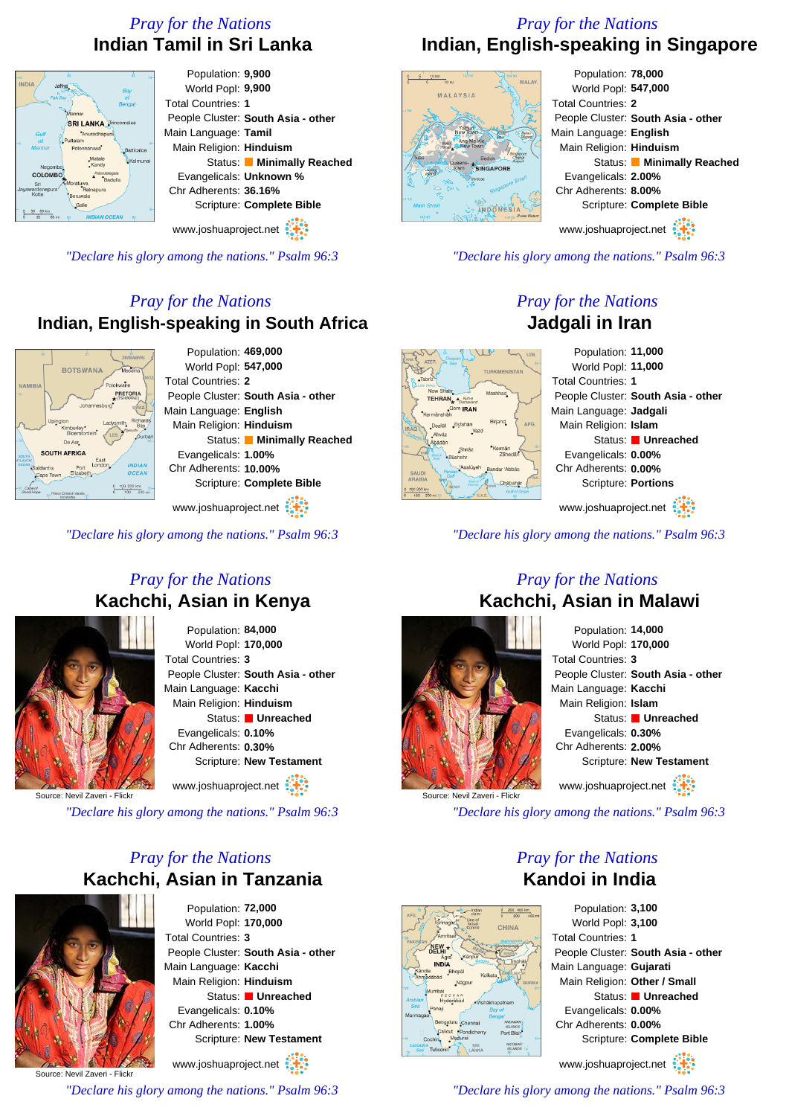### *Pray for the Nations* **Indian Tamil in Sri Lanka**

### Population: **9,900** World Popl: **9,900** Total Countries: **1** People Cluster: **South Asia - other SRI LANKA** Main Language: **Tamil** Main Religion: **Hinduism** Status: **Minimally Reached** Evangelicals: **Unknown %** Chr Adherents: **36.16%** Scripture: **Complete Bible**

www.joshuaproject.net

*"Declare his glory among the nations." Psalm 96:3*

### *Pray for the Nations* **Indian, English-speaking in South Africa**



www.joshuaproject.net

*"Declare his glory among the nations." Psalm 96:3*

### *Pray for the Nations* **Kachchi, Asian in Kenya**



Population: **84,000** World Popl: **170,000** Total Countries: **3** People Cluster: **South Asia - other** Main Language: **Kacchi** Main Religion: **Hinduism** Status: **Unreached** Evangelicals: **0.10%** Chr Adherents: **0.30%** Scripture: **New Testament**

www.joshuaproject.net

Source: Nevil Zaveri - Flickr

*"Declare his glory among the nations." Psalm 96:3*

### *Pray for the Nations* **Kachchi, Asian in Tanzania**



Population: **72,000** World Popl: **170,000** Total Countries: **3** People Cluster: **South Asia - other** Main Language: **Kacchi** Main Religion: **Hinduism** Status: **Unreached** Evangelicals: **0.10%** Chr Adherents: **1.00%** Scripture: **New Testament** www.joshuaproject.net

Source: Nevil Zaveri - Flickr

*"Declare his glory among the nations." Psalm 96:3*

### *Pray for the Nations* **Indian, English-speaking in Singapore**



Population: **78,000** World Popl: **547,000** Total Countries: **2** People Cluster: **South Asia - other** Main Language: **English** Main Religion: **Hinduism** Status: **Minimally Reached** Evangelicals: **2.00%** Chr Adherents: **8.00%** Scripture: **Complete Bible**

www.joshuaproject.net

*"Declare his glory among the nations." Psalm 96:3*

### *Pray for the Nations* **Jadgali in Iran**



*"Declare his glory among the nations." Psalm 96:3*

# Source: Nevil Zaveri - Flickr

### Population: **14,000** World Popl: **170,000** Total Countries: **3** People Cluster: **South Asia - other** Main Language: **Kacchi** Main Religion: **Islam** Status: **Unreached** Evangelicals: **0.30%**

Chr Adherents: **2.00%** Scripture: **New Testament**

www.joshuaproject.net

*"Declare his glory among the nations." Psalm 96:3*



*Pray for the Nations* **Kandoi in India** Population: **3,100**

World Popl: **3,100** Total Countries: **1** People Cluster: **South Asia - other** Main Language: **Gujarati** Main Religion: **Other / Small** Status: **Unreached** Evangelicals: **0.00%** Chr Adherents: **0.00%** Scripture: **Complete Bible** www.joshuaproject.net

*"Declare his glory among the nations." Psalm 96:3*

### *Pray for the Nations* **Kachchi, Asian in Malawi**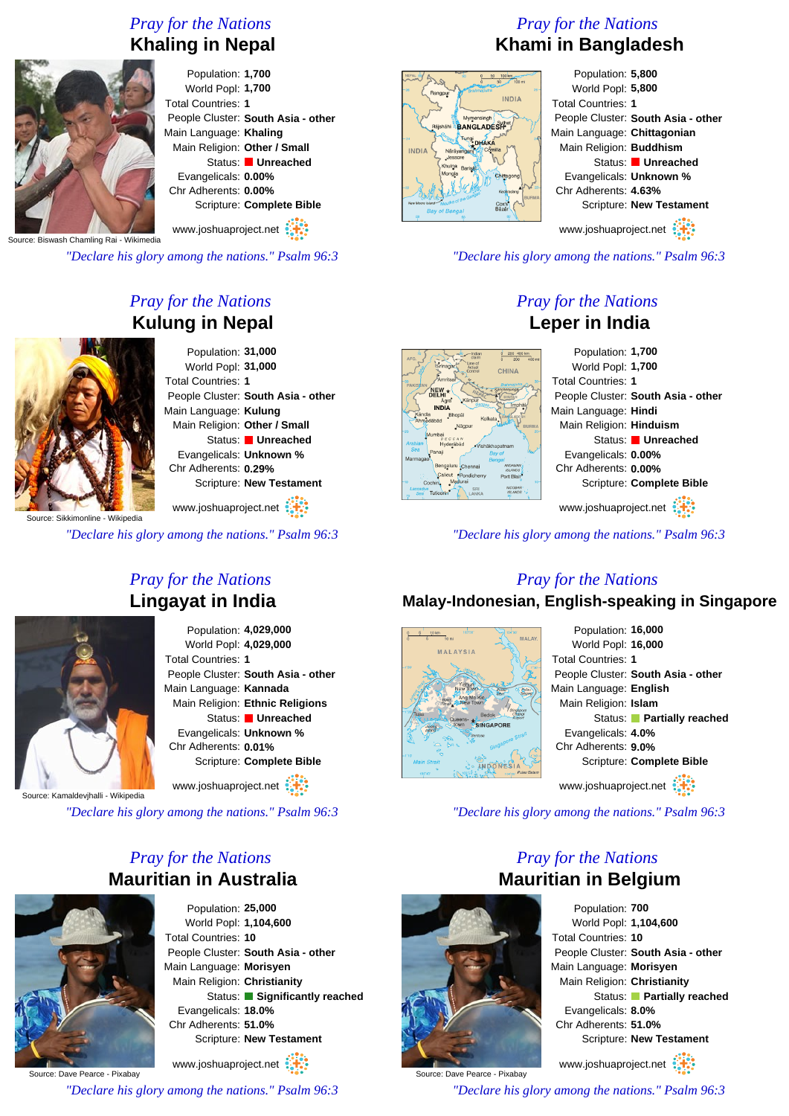## *Pray for the Nations*





Population: **1,700** World Popl: **1,700** Total Countries: **1** People Cluster: **South Asia - other** Main Language: **Khaling** Main Religion: **Other / Small** Status: **Unreached** Evangelicals: **0.00%** Chr Adherents: **0.00%** Scripture: **Complete Bible**

www.joshuaproject.net

ash Chamling Rai - Wikimedia

*"Declare his glory among the nations." Psalm 96:3*

### *Pray for the Nations* **Kulung in Nepal**



ce: Sikkimonline - Wikipedia

*"Declare his glory among the nations." Psalm 96:3*

### *Pray for the Nations* **Lingayat in India**



Population: **4,029,000** World Popl: **4,029,000** Total Countries: **1** People Cluster: **South Asia - other** Main Language: **Kannada** Main Religion: **Ethnic Religions** Status: **Unreached** Evangelicals: **Unknown %** Chr Adherents: **0.01%** Scripture: **Complete Bible**

www.joshuaproject.net

vihalli - Wikipedia

*"Declare his glory among the nations." Psalm 96:3*

### *Pray for the Nations* **Mauritian in Australia**



Population: **25,000** World Popl: **1,104,600** Total Countries: **10** People Cluster: **South Asia - other** Main Language: **Morisyen** Main Religion: **Christianity** Status: **Significantly reached** Evangelicals: **18.0%** Chr Adherents: **51.0%** Scripture: **New Testament** www.joshuaproject.net

Source: Dave Pearce - Pixabay

*"Declare his glory among the nations." Psalm 96:3*

### *Pray for the Nations* **Khami in Bangladesh**



Population: **5,800** World Popl: **5,800** Total Countries: **1** People Cluster: **South Asia - other** Main Language: **Chittagonian** Main Religion: **Buddhism** Status: **Unreached** Evangelicals: **Unknown %** Chr Adherents: **4.63%** Scripture: **New Testament** www.joshuaproject.net

- other

*"Declare his glory among the nations." Psalm 96:3*

### *Pray for the Nations* **Leper in India**

| 200 400 km<br>Indian<br>ntain<br>200<br>$400 \text{ mi}$                                         | Population: 1,700                |                           |
|--------------------------------------------------------------------------------------------------|----------------------------------|---------------------------|
| Srinagar<br><b>CHINA</b><br>ontro                                                                | World Popl: 1,700                |                           |
| Amritsai                                                                                         | <b>Total Countries: 1</b>        |                           |
| EW.★<br>Känpur<br>Agra                                                                           | People Cluster: South Asia - otl |                           |
| Imphä<br><b>INDIA</b><br>Bhopäl<br>Kolkata                                                       | Main Language: Hindi             |                           |
| bād<br><b>BURMA</b><br>Nägpur                                                                    | Main Religion: Hinduism          |                           |
| mhai<br>DECCAN<br>Hyderābād<br>Vishäkhapatnam                                                    |                                  | Status: Unreached         |
| anaii<br><b>Bay of</b><br>Benaal                                                                 | Evangelicals: 0.00%              |                           |
| Bengaluru<br><b>ANDAMA</b><br>Chennai<br><b>ISLANDS</b><br>Calicut<br>*Pondicherry<br>Port Blair | Chr Adherents: 0.00%             |                           |
| $10-$<br><b>NICOBAR</b><br>SRI                                                                   |                                  | Scripture: Complete Bible |
| <b>uticorin</b><br>ISLANDS<br>LANKA                                                              |                                  |                           |
|                                                                                                  | www.joshuaproject.net            |                           |
|                                                                                                  |                                  |                           |

*"Declare his glory among the nations." Psalm 96:3*

### *Pray for the Nations*

### **Malay-Indonesian, English-speaking in Singapore**



### Population: **16,000** World Popl: **16,000** Total Countries: **1** People Cluster: **South Asia - other** Main Language: **English** Main Religion: **Islam** Status: **Partially reached** Evangelicals: **4.0%** Chr Adherents: **9.0%** Scripture: **Complete Bible** www.joshuaproject.net

*"Declare his glory among the nations." Psalm 96:3*

### *Pray for the Nations* **Mauritian in Belgium**



Source: Dave Pearce - Pixabay

Population: **700** World Popl: **1,104,600** Total Countries: **10** People Cluster: **South Asia - other** Main Language: **Morisyen** Main Religion: **Christianity** Status: **Partially reached** Evangelicals: **8.0%** Chr Adherents: **51.0%** Scripture: **New Testament**

www.joshuaproject.net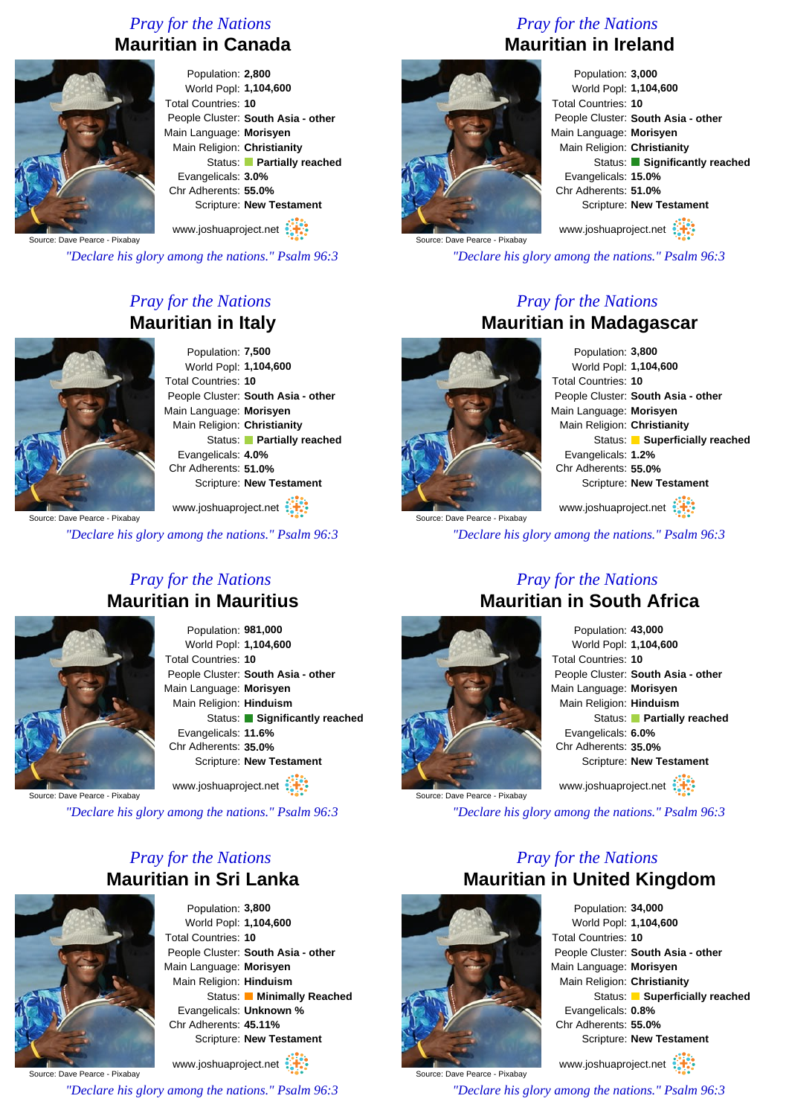### *Pray for the Nations* **Mauritian in Canada**



Population: **2,800** World Popl: **1,104,600** Total Countries: **10** People Cluster: **South Asia - other** Main Language: **Morisyen** Main Religion: **Christianity** Status: **Partially reached** Evangelicals: **3.0%** Chr Adherents: **55.0%** Scripture: **New Testament**

www.joshuaproject.net

Source: Dave Pearce - Pixabay

*"Declare his glory among the nations." Psalm 96:3*

### *Pray for the Nations* **Mauritian in Italy**



Population: **7,500** World Popl: **1,104,600** Total Countries: **10** People Cluster: **South Asia - other** Main Language: **Morisyen** Main Religion: **Christianity** Status: **Partially reached** Evangelicals: **4.0%** Chr Adherents: **51.0%** Scripture: **New Testament**

www.joshuaproject.net

*"Declare his glory among the nations." Psalm 96:3*

### *Pray for the Nations* **Mauritian in Mauritius**



Population: **981,000** World Popl: **1,104,600** Total Countries: **10** People Cluster: **South Asia - other** Main Language: **Morisyen** Main Religion: **Hinduism** Status: **Significantly reached** Evangelicals: **11.6%** Chr Adherents: **35.0%** Scripture: **New Testament**

www.joshuaproject.net

Source: Dave Pearce - Pixabay

*"Declare his glory among the nations." Psalm 96:3*

### *Pray for the Nations* **Mauritian in Sri Lanka**



Population: **3,800** World Popl: **1,104,600** Total Countries: **10** People Cluster: **South Asia - other** Main Language: **Morisyen** Main Religion: **Hinduism** Status: **Minimally Reached** Evangelicals: **Unknown %** Chr Adherents: **45.11%** Scripture: **New Testament** www.joshuaproject.net

Source: Dave Pearce - Pixabay

*"Declare his glory among the nations." Psalm 96:3*

### *Pray for the Nations* **Mauritian in Ireland**



Population: **3,000** World Popl: **1,104,600** Total Countries: **10** People Cluster: **South Asia - other** Main Language: **Morisyen** Main Religion: **Christianity** Status: **Significantly reached** Evangelicals: **15.0%** Chr Adherents: **51.0%** Scripture: **New Testament** www.joshuaproject.net

Source: Dave Pearce - Pixabay

*"Declare his glory among the nations." Psalm 96:3*

### *Pray for the Nations* **Mauritian in Madagascar**



Source: Dave Pearce - Pixabay

Population: **3,800** World Popl: **1,104,600** Total Countries: **10** People Cluster: **South Asia - other** Main Language: **Morisyen** Main Religion: **Christianity** Status: **Superficially reached** Evangelicals: **1.2%** Chr Adherents: **55.0%** Scripture: **New Testament**

www.joshuaproject.net

*"Declare his glory among the nations." Psalm 96:3*



Source: Dave Pearce - Pixabay

# **Mauritian in South Africa**



*"Declare his glory among the nations." Psalm 96:3*

### *Pray for the Nations* **Mauritian in United Kingdom**



Source: Dave Pearce - Pixabay

Population: **34,000** World Popl: **1,104,600** Total Countries: **10** People Cluster: **South Asia - other** Main Language: **Morisyen** Main Religion: **Christianity** Status: **Superficially reached** Evangelicals: **0.8%** Chr Adherents: **55.0%** Scripture: **New Testament**

www.joshuaproject.net

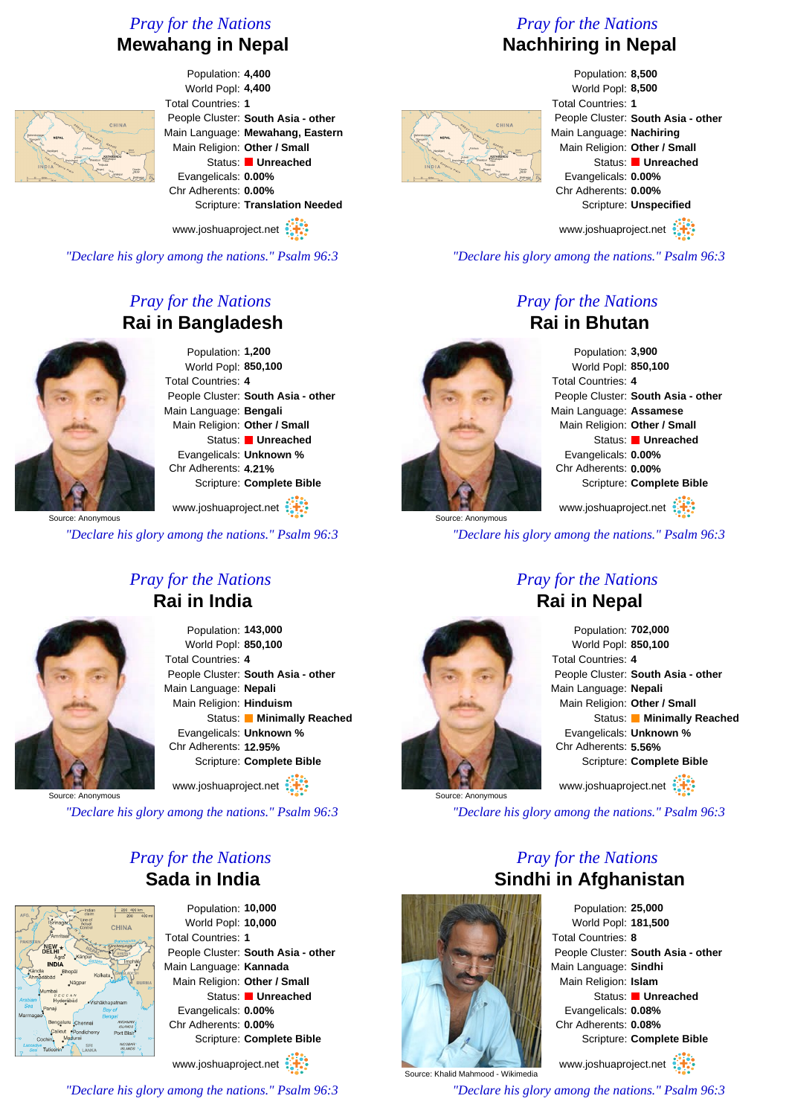### *Pray for the Nations* **Mewahang in Nepal**



Population: **4,400** World Popl: **4,400** Total Countries: **1** People Cluster: **South Asia - other** Main Language: **Mewahang, Eastern** Main Religion: **Other / Small** Status: **Unreached** Evangelicals: **0.00%** Chr Adherents: **0.00%** Scripture: **Translation Needed**

www.joshuaproject.net

*"Declare his glory among the nations." Psalm 96:3*

### *Pray for the Nations* **Rai in Bangladesh**



Source: Anonymous

Population: **1,200** World Popl: **850,100** Total Countries: **4** People Cluster: **South Asia - other** Main Language: **Bengali** Main Religion: **Other / Small** Status: **Unreached** Evangelicals: **Unknown %** Chr Adherents: **4.21%** Scripture: **Complete Bible**

www.joshuaproject.net

*"Declare his glory among the nations." Psalm 96:3*

**Rai in India**

Population: **143,000** World Popl: **850,100** Total Countries: **4** People Cluster: **South Asia - other** Main Language: **Nepali** Main Religion: **Hinduism** Status: **Minimally Reached** Evangelicals: **Unknown %** Chr Adherents: **12.95%** Scripture: **Complete Bible**

www.joshuaproject.net

Source: Anonymous

*"Declare his glory among the nations." Psalm 96:3*

### *Pray for the Nations* **Sada in India**



Population: **10,000** World Popl: **10,000** Total Countries: **1** People Cluster: **South Asia - other** Main Language: **Kannada** Main Religion: **Other / Small** Status: **Unreached** Evangelicals: **0.00%** Chr Adherents: **0.00%** Scripture: **Complete Bible** www.joshuaproject.net

*"Declare his glory among the nations." Psalm 96:3*

### *Pray for the Nations* **Nachhiring in Nepal**

Population: **8,500** World Popl: **8,500** Total Countries: **1** People Cluster: **South Asia - other** Main Language: **Nachiring** Main Religion: **Other / Small** Status: **Unreached** Evangelicals: **0.00%** Chr Adherents: **0.00%** Scripture: **Unspecified**

www.joshuaproject.net

*"Declare his glory among the nations." Psalm 96:3*

### *Pray for the Nations* **Rai in Bhutan**

Population: **3,900** World Popl: **850,100** Total Countries: **4** People Cluster: **South Asia - other** Main Language: **Assamese** Main Religion: **Other / Small** Status: **Unreached** Evangelicals: **0.00%** Chr Adherents: **0.00%** Scripture: **Complete Bible** www.joshuaproject.net

*"Declare his glory among the nations." Psalm 96:3*

### *Pray for the Nations* **Rai in Nepal**



*"Declare his glory among the nations." Psalm 96:3*

*Pray for the Nations*



Source: Anonymous

Population: **25,000** World Popl: **181,500** Total Countries: **8** People Cluster: **South Asia - other** Main Language: **Sindhi** Main Religion: **Islam** Status: **Unreached** Evangelicals: **0.08%** Chr Adherents: **0.08%** Scripture: **Complete Bible**

www.joshuaproject.net

*"Declare his glory among the nations." Psalm 96:3*



*Pray for the Nations*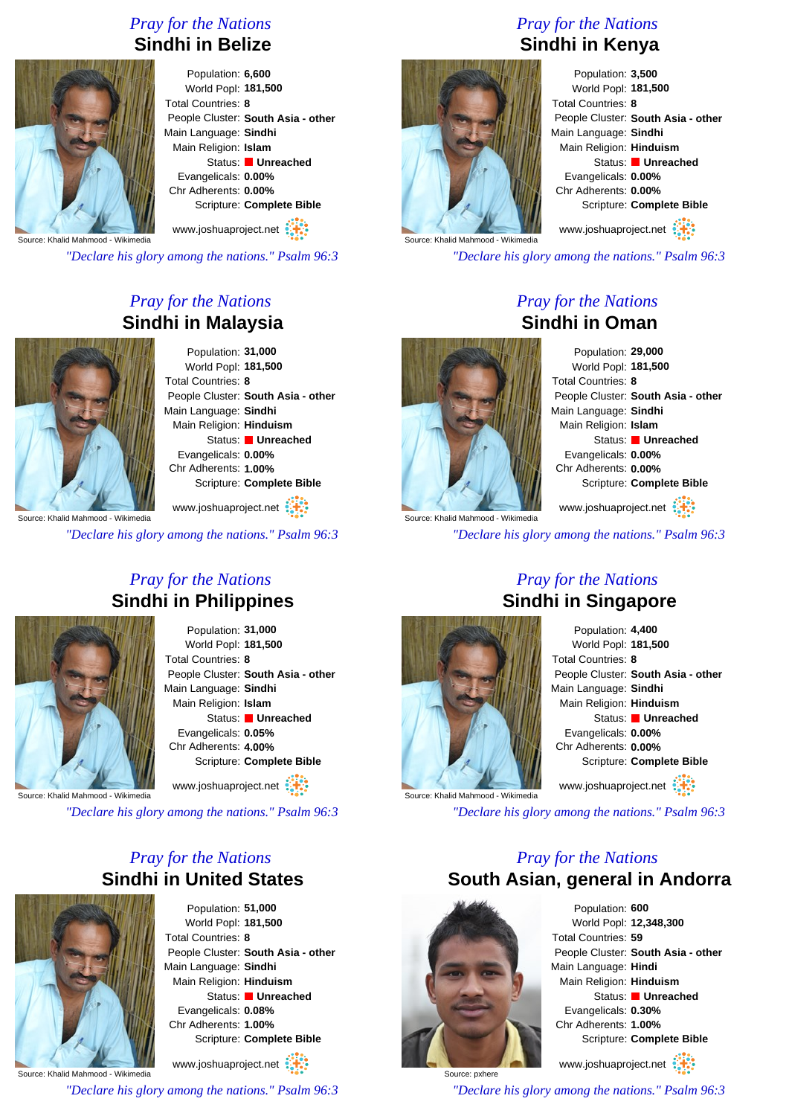### *Pray for the Nations* **Sindhi in Belize**



Population: **6,600** World Popl: **181,500** Total Countries: **8** People Cluster: **South Asia - other** Main Language: **Sindhi** Main Religion: **Islam** Status: **Unreached** Evangelicals: **0.00%** Chr Adherents: **0.00%** Scripture: **Complete Bible**

www.joshuaproject.net

Source: Khalid Mahmood - Wikimedia

*"Declare his glory among the nations." Psalm 96:3*

### *Pray for the Nations* **Sindhi in Malaysia**



Population: **31,000** World Popl: **181,500** Total Countries: **8** People Cluster: **South Asia - other** Main Language: **Sindhi** Main Religion: **Hinduism** Status: **Unreached** Evangelicals: **0.00%** Chr Adherents: **1.00%** Scripture: **Complete Bible**

www.joshuaproject.net

*"Declare his glory among the nations." Psalm 96:3*

### *Pray for the Nations* **Sindhi in Philippines**



Population: **31,000** World Popl: **181,500** Total Countries: **8** People Cluster: **South Asia - other** Main Language: **Sindhi** Main Religion: **Islam** Status: **Unreached** Evangelicals: **0.05%** Chr Adherents: **4.00%** Scripture: **Complete Bible** www.joshuaproject.net

Source: Khalid Mahmood - Wikimedia

*"Declare his glory among the nations." Psalm 96:3*

### *Pray for the Nations* **Sindhi in United States**



Population: **51,000** World Popl: **181,500** Total Countries: **8** People Cluster: **South Asia - other** Main Language: **Sindhi** Main Religion: **Hinduism** Status: **Unreached** Evangelicals: **0.08%** Chr Adherents: **1.00%** Scripture: **Complete Bible** www.joshuaproject.net

Source: Khalid Mahmood - Wikimedia

*"Declare his glory among the nations." Psalm 96:3*

### *Pray for the Nations* **Sindhi in Kenya**



Population: **3,500** World Popl: **181,500** Total Countries: **8** People Cluster: **South Asia - other** Main Language: **Sindhi** Main Religion: **Hinduism** Status: **Unreached** Evangelicals: **0.00%** Chr Adherents: **0.00%** Scripture: **Complete Bible**

www.joshuaproject.net

*"Declare his glory among the nations." Psalm 96:3*

*Pray for the Nations*

# **Sindhi in Oman**

Population: **29,000** World Popl: **181,500** Total Countries: **8** People Cluster: **South Asia - other** Main Language: **Sindhi** Main Religion: **Islam** Status: **Unreached** Evangelicals: **0.00%** Chr Adherents: **0.00%** Scripture: **Complete Bible** www.joshuaproject.net

Source: Khalid Mahmood - Wikimedia

*"Declare his glory among the nations." Psalm 96:3*



### *Pray for the Nations* **Sindhi in Singapore**

Population: **4,400** World Popl: **181,500** Total Countries: **8** People Cluster: **South Asia - other** Main Language: **Sindhi** Main Religion: **Hinduism** Status: **Unreached** Evangelicals: **0.00%** Chr Adherents: **0.00%** Scripture: **Complete Bible** www.joshuaproject.net

*"Declare his glory among the nations." Psalm 96:3*

### *Pray for the Nations* **South Asian, general in Andorra**



Source: pxhere

Population: **600** World Popl: **12,348,300** Total Countries: **59** People Cluster: **South Asia - other** Main Language: **Hindi** Main Religion: **Hinduism** Status: **Unreached** Evangelicals: **0.30%** Chr Adherents: **1.00%** Scripture: **Complete Bible**

www.joshuaproject.net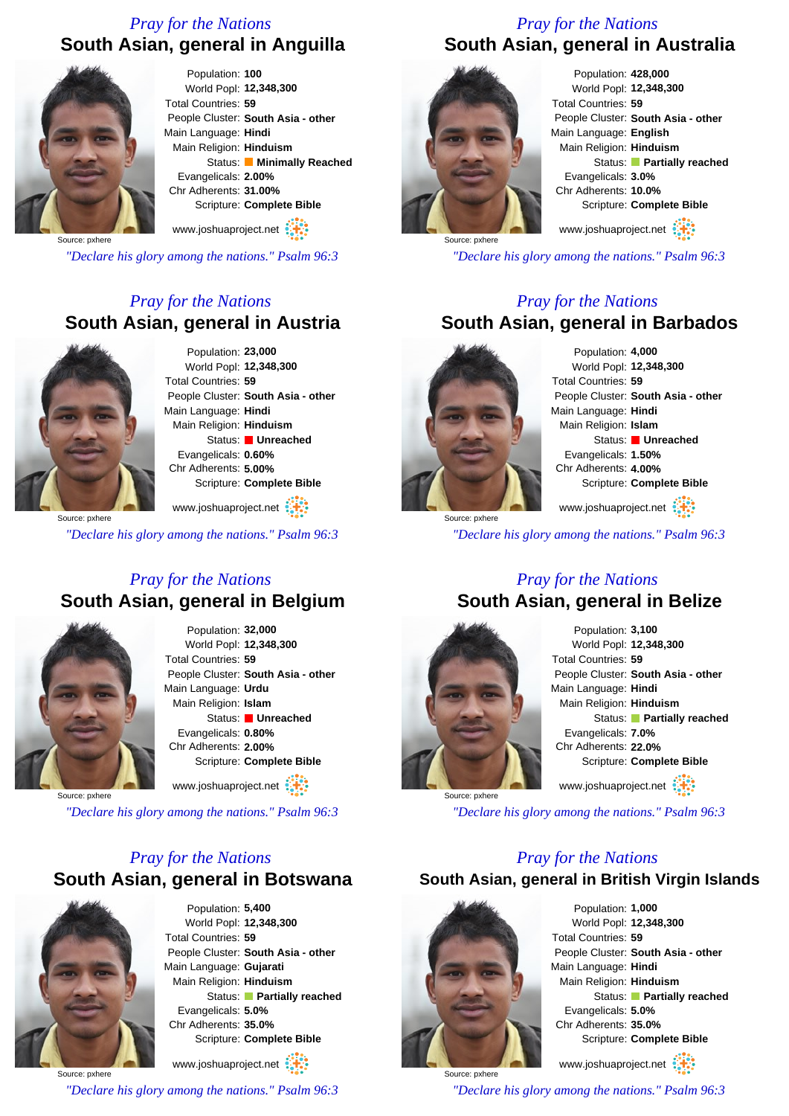### *Pray for the Nations* **South Asian, general in Anguilla**



Population: **100** World Popl: **12,348,300** Total Countries: **59** People Cluster: **South Asia - other** Main Language: **Hindi** Main Religion: **Hinduism** Status: **Minimally Reached** Evangelicals: **2.00%** Chr Adherents: **31.00%** Scripture: **Complete Bible**

www.joshuaproject.net

Source: pxhere

*"Declare his glory among the nations." Psalm 96:3*

### *Pray for the Nations* **South Asian, general in Austria**



Population: **23,000** World Popl: **12,348,300** Total Countries: **59** People Cluster: **South Asia - other** Main Language: **Hindi** Main Religion: **Hinduism** Status: **Unreached** Evangelicals: **0.60%** Chr Adherents: **5.00%** Scripture: **Complete Bible**

www.joshuaproject.net

Source: pxhere

*"Declare his glory among the nations." Psalm 96:3*

### *Pray for the Nations* **South Asian, general in Belgium**



Population: **32,000** World Popl: **12,348,300** Total Countries: **59** People Cluster: **South Asia - other** Main Language: **Urdu** Main Religion: **Islam** Status: **Unreached** Evangelicals: **0.80%** Chr Adherents: **2.00%** Scripture: **Complete Bible** www.joshuaproject.net

Source: pxhere

*"Declare his glory among the nations." Psalm 96:3*

### *Pray for the Nations* **South Asian, general in Botswana**



Population: **5,400** World Popl: **12,348,300** Total Countries: **59** People Cluster: **South Asia - other** Main Language: **Gujarati** Main Religion: **Hinduism** Status: **Partially reached** Evangelicals: **5.0%** Chr Adherents: **35.0%** Scripture: **Complete Bible**

Source: pxhere www.joshuaproject.net *"Declare his glory among the nations." Psalm 96:3*

## *Pray for the Nations*





Population: **428,000** World Popl: **12,348,300** Total Countries: **59** People Cluster: **South Asia - other** Main Language: **English** Main Religion: **Hinduism** Status: **Partially reached** Evangelicals: **3.0%** Chr Adherents: **10.0%** Scripture: **Complete Bible**

www.joshuaproject.net

*"Declare his glory among the nations." Psalm 96:3*

### *Pray for the Nations* **South Asian, general in Barbados**



Source: pxhere

Population: **4,000** World Popl: **12,348,300** Total Countries: **59** People Cluster: **South Asia - other** Main Language: **Hindi** Main Religion: **Islam** Status: **Unreached** Evangelicals: **1.50%** Chr Adherents: **4.00%** Scripture: **Complete Bible**

www.joshuaproject.net

*"Declare his glory among the nations." Psalm 96:3*

### *Pray for the Nations* **South Asian, general in Belize**



Population: **3,100** World Popl: **12,348,300** Total Countries: **59** People Cluster: **South Asia - other** Main Language: **Hindi** Main Religion: **Hinduism** Status: **Partially reached** Evangelicals: **7.0%** Chr Adherents: **22.0%** Scripture: **Complete Bible** www.joshuaproject.net

*"Declare his glory among the nations." Psalm 96:3*

### *Pray for the Nations*

**South Asian, general in British Virgin Islands**



Source: pxhere

Population: **1,000** World Popl: **12,348,300** Total Countries: **59** People Cluster: **South Asia - other** Main Language: **Hindi** Main Religion: **Hinduism** Status: **Partially reached** Evangelicals: **5.0%** Chr Adherents: **35.0%** Scripture: **Complete Bible**

www.joshuaproject.net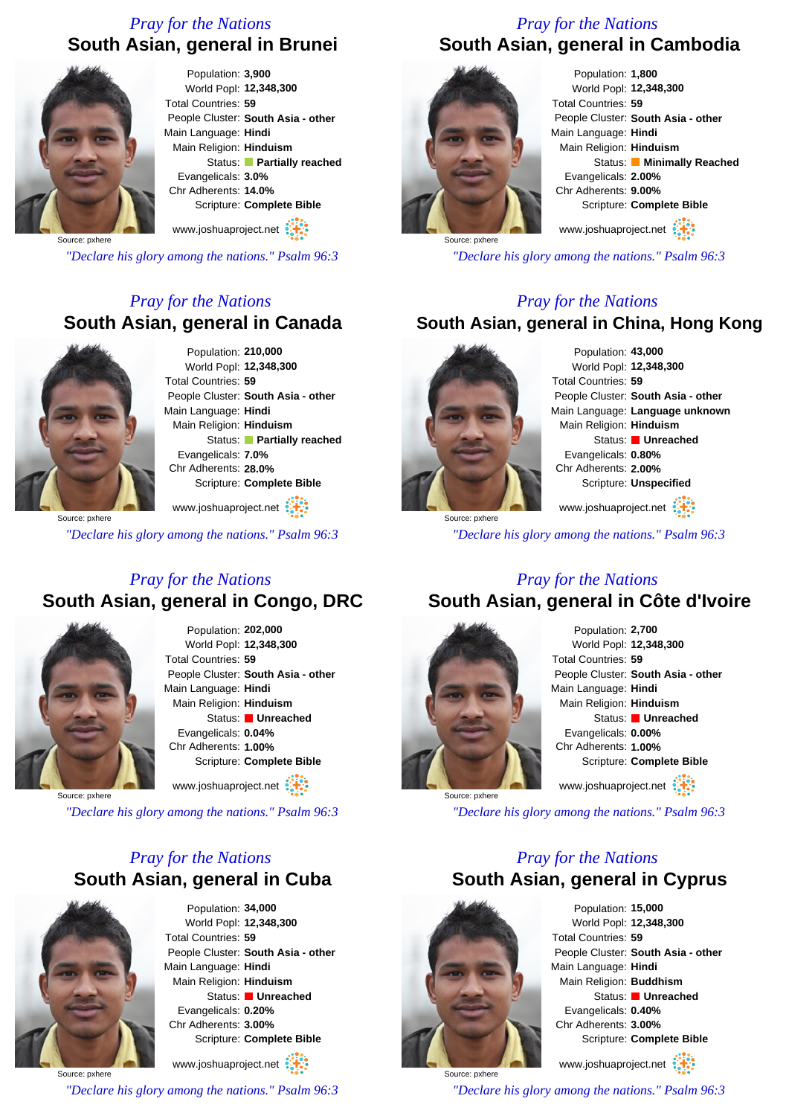### *Pray for the Nations* **South Asian, general in Brunei**



Population: **3,900** World Popl: **12,348,300** Total Countries: **59** People Cluster: **South Asia - other** Main Language: **Hindi** Main Religion: **Hinduism** Status: **Partially reached** Evangelicals: **3.0%** Chr Adherents: **14.0%** Scripture: **Complete Bible**

www.joshuaproject.net

Source: pxhere

*"Declare his glory among the nations." Psalm 96:3*

### *Pray for the Nations* **South Asian, general in Canada**



Population: **210,000** World Popl: **12,348,300** Total Countries: **59** People Cluster: **South Asia - other** Main Language: **Hindi** Main Religion: **Hinduism** Status: **Partially reached** Evangelicals: **7.0%** Chr Adherents: **28.0%** Scripture: **Complete Bible**

Source: pxhere www.joshuaproject.net

*"Declare his glory among the nations." Psalm 96:3*

### *Pray for the Nations* **South Asian, general in Congo, DRC**



Population: **202,000** World Popl: **12,348,300** Total Countries: **59** People Cluster: **South Asia - other** Main Language: **Hindi** Main Religion: **Hinduism** Status: **Unreached** Evangelicals: **0.04%** Chr Adherents: **1.00%** Scripture: **Complete Bible** www.joshuaproject.net

Source: pxhere

*"Declare his glory among the nations." Psalm 96:3*

### *Pray for the Nations* **South Asian, general in Cuba**



Population: **34,000** World Popl: **12,348,300** Total Countries: **59** People Cluster: **South Asia - other** Main Language: **Hindi** Main Religion: **Hinduism** Status: **Unreached** Evangelicals: **0.20%** Chr Adherents: **3.00%** Scripture: **Complete Bible**

Source: pxhere www.joshuaproject.net

*"Declare his glory among the nations." Psalm 96:3*

### *Pray for the Nations* **South Asian, general in Cambodia**



Population: **1,800** World Popl: **12,348,300** Total Countries: **59** People Cluster: **South Asia - other** Main Language: **Hindi** Main Religion: **Hinduism** Status: **Minimally Reached** Evangelicals: **2.00%** Chr Adherents: **9.00%** Scripture: **Complete Bible**

www.joshuaproject.net

*"Declare his glory among the nations." Psalm 96:3*

### *Pray for the Nations*

### **South Asian, general in China, Hong Kong**



Source: pxhere

Population: **43,000** World Popl: **12,348,300** Total Countries: **59** People Cluster: **South Asia - other** Main Language: **Language unknown** Main Religion: **Hinduism** Status: **Unreached** Evangelicals: **0.80%** Chr Adherents: **2.00%** Scripture: **Unspecified** www.joshuaproject.net

*"Declare his glory among the nations." Psalm 96:3*

### *Pray for the Nations* **South Asian, general in Côte d'Ivoire**



Population: **2,700** World Popl: **12,348,300** Total Countries: **59** People Cluster: **South Asia - other** Main Language: **Hindi** Main Religion: **Hinduism** Status: **Unreached** Evangelicals: **0.00%** Chr Adherents: **1.00%** Scripture: **Complete Bible** www.joshuaproject.net

*"Declare his glory among the nations." Psalm 96:3*

### *Pray for the Nations* **South Asian, general in Cyprus**



Source: pxhere

Population: **15,000** World Popl: **12,348,300** Total Countries: **59** People Cluster: **South Asia - other** Main Language: **Hindi** Main Religion: **Buddhism** Status: **Unreached** Evangelicals: **0.40%** Chr Adherents: **3.00%** Scripture: **Complete Bible**

www.joshuaproject.net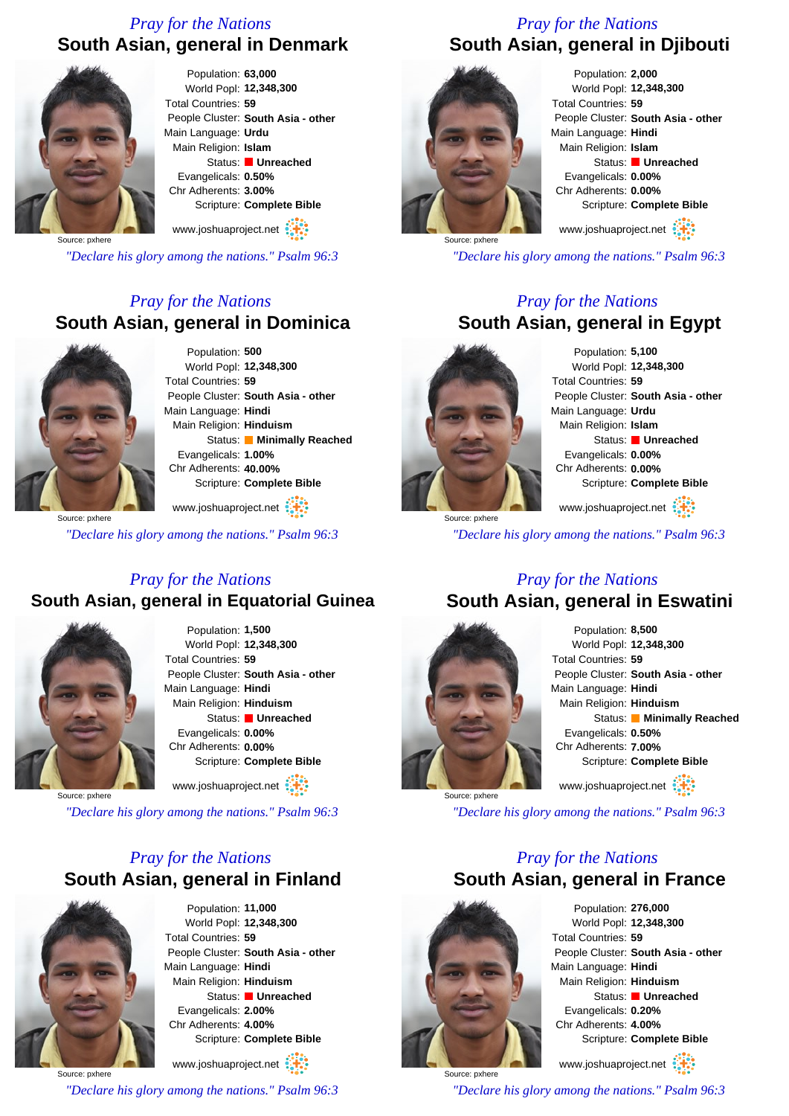### *Pray for the Nations* **South Asian, general in Denmark**



Population: **63,000** World Popl: **12,348,300** Total Countries: **59** People Cluster: **South Asia - other** Main Language: **Urdu** Main Religion: **Islam** Status: **Unreached** Evangelicals: **0.50%** Chr Adherents: **3.00%** Scripture: **Complete Bible**

www.joshuaproject.net

Source: pxhere

*"Declare his glory among the nations." Psalm 96:3*

### *Pray for the Nations* **South Asian, general in Dominica**



Population: **500** World Popl: **12,348,300** Total Countries: **59** People Cluster: **South Asia - other** Main Language: **Hindi** Main Religion: **Hinduism** Status: **Minimally Reached** Evangelicals: **1.00%** Chr Adherents: **40.00%** Scripture: **Complete Bible**

Source: pxhere www.joshuaproject.net

*"Declare his glory among the nations." Psalm 96:3*

### *Pray for the Nations* **South Asian, general in Equatorial Guinea**



Population: **1,500** World Popl: **12,348,300** Total Countries: **59** People Cluster: **South Asia - other** Main Language: **Hindi** Main Religion: **Hinduism** Status: **Unreached** Evangelicals: **0.00%** Chr Adherents: **0.00%** Scripture: **Complete Bible** www.joshuaproject.net

Source: pxhere

*"Declare his glory among the nations." Psalm 96:3*

### *Pray for the Nations* **South Asian, general in Finland**



Population: **11,000** World Popl: **12,348,300** Total Countries: **59** People Cluster: **South Asia - other** Main Language: **Hindi** Main Religion: **Hinduism** Status: **Unreached** Evangelicals: **2.00%** Chr Adherents: **4.00%** Scripture: **Complete Bible**

Source: pxhere www.joshuaproject.net

*"Declare his glory among the nations." Psalm 96:3*

### *Pray for the Nations* **South Asian, general in Djibouti**



Population: **2,000** World Popl: **12,348,300** Total Countries: **59** People Cluster: **South Asia - other** Main Language: **Hindi** Main Religion: **Islam** Status: **Unreached** Evangelicals: **0.00%** Chr Adherents: **0.00%** Scripture: **Complete Bible**

www.joshuaproject.net

*"Declare his glory among the nations." Psalm 96:3*

### *Pray for the Nations* **South Asian, general in Egypt**



Population: **5,100** World Popl: **12,348,300** Total Countries: **59** People Cluster: **South Asia - other** Main Language: **Urdu** Main Religion: **Islam** Status: **Unreached** Evangelicals: **0.00%** Chr Adherents: **0.00%** Scripture: **Complete Bible** www.joshuaproject.net

Source: pxhere

*"Declare his glory among the nations." Psalm 96:3*

### *Pray for the Nations*

### **South Asian, general in Eswatini**



Population: **8,500** World Popl: **12,348,300** Total Countries: **59** People Cluster: **South Asia - other** Main Language: **Hindi** Main Religion: **Hinduism** Status: **Minimally Reached** Evangelicals: **0.50%** Chr Adherents: **7.00%** Scripture: **Complete Bible** www.joshuaproject.net

*"Declare his glory among the nations." Psalm 96:3*

### *Pray for the Nations* **South Asian, general in France**



Source: pxhere

Population: **276,000** World Popl: **12,348,300** Total Countries: **59** People Cluster: **South Asia - other** Main Language: **Hindi** Main Religion: **Hinduism** Status: **Unreached** Evangelicals: **0.20%** Chr Adherents: **4.00%** Scripture: **Complete Bible**

www.joshuaproject.net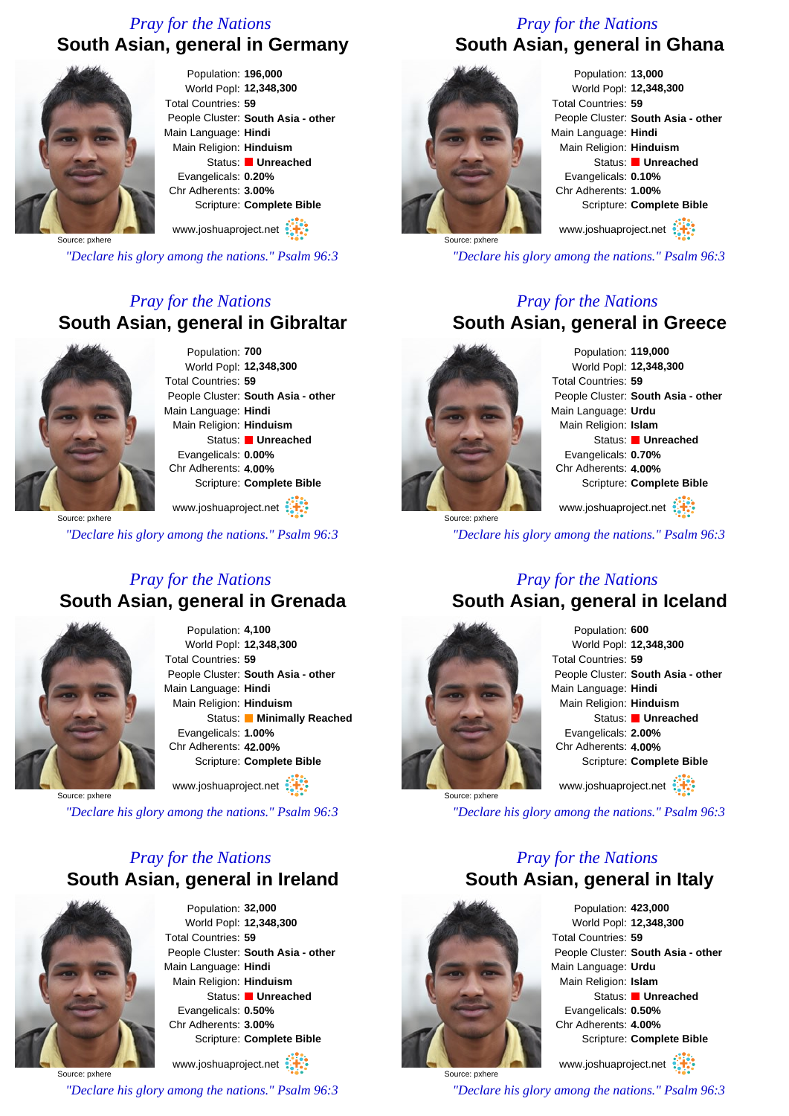### *Pray for the Nations* **South Asian, general in Germany**



Population: **196,000** World Popl: **12,348,300** Total Countries: **59** People Cluster: **South Asia - other** Main Language: **Hindi** Main Religion: **Hinduism** Status: **Unreached** Evangelicals: **0.20%** Chr Adherents: **3.00%** Scripture: **Complete Bible**

www.joshuaproject.net

Source: pxhere

*"Declare his glory among the nations." Psalm 96:3*

### *Pray for the Nations* **South Asian, general in Gibraltar**



Population: **700** World Popl: **12,348,300** Total Countries: **59** People Cluster: **South Asia - other** Main Language: **Hindi** Main Religion: **Hinduism** Status: **Unreached** Evangelicals: **0.00%** Chr Adherents: **4.00%** Scripture: **Complete Bible**

Source: pxhere www.joshuaproject.net

*"Declare his glory among the nations." Psalm 96:3*

### *Pray for the Nations* **South Asian, general in Grenada**



Population: **4,100** World Popl: **12,348,300** Total Countries: **59** People Cluster: **South Asia - other** Main Language: **Hindi** Main Religion: **Hinduism** Status: **Minimally Reached** Evangelicals: **1.00%** Chr Adherents: **42.00%** Scripture: **Complete Bible** www.joshuaproject.net

Source: pxhere

*"Declare his glory among the nations." Psalm 96:3*

### *Pray for the Nations* **South Asian, general in Ireland**



Source: pxhere

Population: **32,000** World Popl: **12,348,300** Total Countries: **59** People Cluster: **South Asia - other** Main Language: **Hindi** Main Religion: **Hinduism** Status: **Unreached** Evangelicals: **0.50%** Chr Adherents: **3.00%** Scripture: **Complete Bible**

www.joshuaproject.net

*"Declare his glory among the nations." Psalm 96:3*

### *Pray for the Nations* **South Asian, general in Ghana**



Population: **13,000** World Popl: **12,348,300** Total Countries: **59** People Cluster: **South Asia - other** Main Language: **Hindi** Main Religion: **Hinduism** Status: **Unreached** Evangelicals: **0.10%** Chr Adherents: **1.00%** Scripture: **Complete Bible**

www.joshuaproject.net

*"Declare his glory among the nations." Psalm 96:3*

### *Pray for the Nations* **South Asian, general in Greece**



Source: pxhere

Population: **119,000** World Popl: **12,348,300** Total Countries: **59** People Cluster: **South Asia - other** Main Language: **Urdu** Main Religion: **Islam** Status: **Unreached** Evangelicals: **0.70%** Chr Adherents: **4.00%** Scripture: **Complete Bible**

www.joshuaproject.net

*"Declare his glory among the nations." Psalm 96:3*

### *Pray for the Nations* **South Asian, general in Iceland**



Population: **600** World Popl: **12,348,300** Total Countries: **59** People Cluster: **South Asia - other** Main Language: **Hindi** Main Religion: **Hinduism** Status: **Unreached** Evangelicals: **2.00%** Chr Adherents: **4.00%** Scripture: **Complete Bible** www.joshuaproject.net

*"Declare his glory among the nations." Psalm 96:3*

### *Pray for the Nations* **South Asian, general in Italy**



Source: pxhere

Population: **423,000** World Popl: **12,348,300** Total Countries: **59** People Cluster: **South Asia - other** Main Language: **Urdu** Main Religion: **Islam** Status: **Unreached** Evangelicals: **0.50%** Chr Adherents: **4.00%** Scripture: **Complete Bible**

www.joshuaproject.net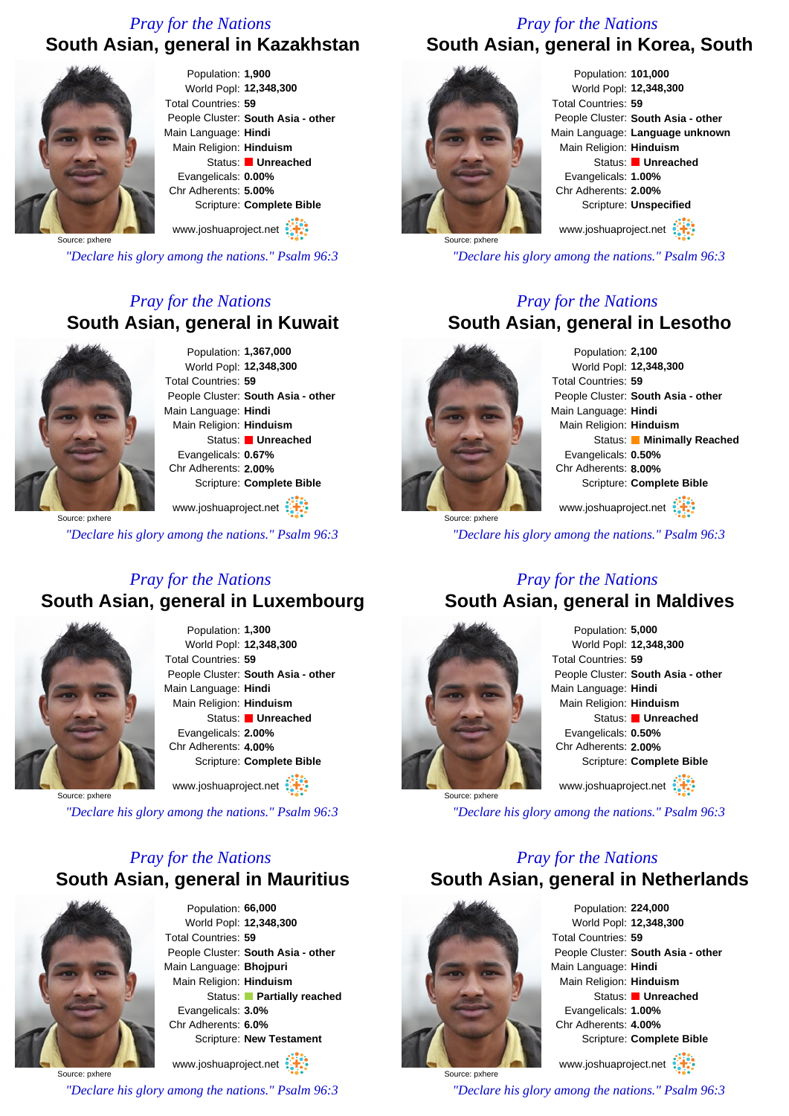### *Pray for the Nations*

### **South Asian, general in Kazakhstan**



Population: **1,900** World Popl: **12,348,300** Total Countries: **59** People Cluster: **South Asia - other** Main Language: **Hindi** Main Religion: **Hinduism** Status: **Unreached** Evangelicals: **0.00%** Chr Adherents: **5.00%** Scripture: **Complete Bible**

www.joshuaproject.net

Source: pxhere

*"Declare his glory among the nations." Psalm 96:3*

### *Pray for the Nations* **South Asian, general in Kuwait**



Population: **1,367,000** World Popl: **12,348,300** Total Countries: **59** People Cluster: **South Asia - other** Main Language: **Hindi** Main Religion: **Hinduism** Status: **Unreached** Evangelicals: **0.67%** Chr Adherents: **2.00%** Scripture: **Complete Bible**

Source: pxhere www.joshuaproject.net

*"Declare his glory among the nations." Psalm 96:3*

### *Pray for the Nations* **South Asian, general in Luxembourg**



Population: **1,300** World Popl: **12,348,300** Total Countries: **59** People Cluster: **South Asia - other** Main Language: **Hindi** Main Religion: **Hinduism** Status: **Unreached** Evangelicals: **2.00%** Chr Adherents: **4.00%** Scripture: **Complete Bible** www.joshuaproject.net

Source: pxhere

*"Declare his glory among the nations." Psalm 96:3*

### *Pray for the Nations* **South Asian, general in Mauritius**



Population: **66,000** World Popl: **12,348,300** Total Countries: **59** People Cluster: **South Asia - other** Main Language: **Bhojpuri** Main Religion: **Hinduism** Status: **Partially reached** Evangelicals: **3.0%** Chr Adherents: **6.0%** Scripture: **New Testament**

Source: pxhere www.joshuaproject.net *"Declare his glory among the nations." Psalm 96:3*

### *Pray for the Nations* **South Asian, general in Korea, South**



Population: **101,000** World Popl: **12,348,300** Total Countries: **59** People Cluster: **South Asia - other** Main Language: **Language unknown** Main Religion: **Hinduism** Status: **Unreached** Evangelicals: **1.00%** Chr Adherents: **2.00%** Scripture: **Unspecified** www.joshuaproject.net

*"Declare his glory among the nations." Psalm 96:3*

### *Pray for the Nations*

### **South Asian, general in Lesotho**



Population: **2,100** World Popl: **12,348,300** Total Countries: **59** People Cluster: **South Asia - other** Main Language: **Hindi** Main Religion: **Hinduism** Status: **Minimally Reached** Evangelicals: **0.50%** Chr Adherents: **8.00%** Scripture: **Complete Bible** www.joshuaproject.net

Source: pxhere

*"Declare his glory among the nations." Psalm 96:3*

### *Pray for the Nations*

### **South Asian, general in Maldives**



Population: **5,000** World Popl: **12,348,300** Total Countries: **59** People Cluster: **South Asia - other** Main Language: **Hindi** Main Religion: **Hinduism** Status: **Unreached** Evangelicals: **0.50%** Chr Adherents: **2.00%** Scripture: **Complete Bible** www.joshuaproject.net

*"Declare his glory among the nations." Psalm 96:3*

### *Pray for the Nations*

**South Asian, general in Netherlands**



Source: pxhere

Population: **224,000** World Popl: **12,348,300** Total Countries: **59** People Cluster: **South Asia - other** Main Language: **Hindi** Main Religion: **Hinduism** Status: **Unreached** Evangelicals: **1.00%** Chr Adherents: **4.00%** Scripture: **Complete Bible**

www.joshuaproject.net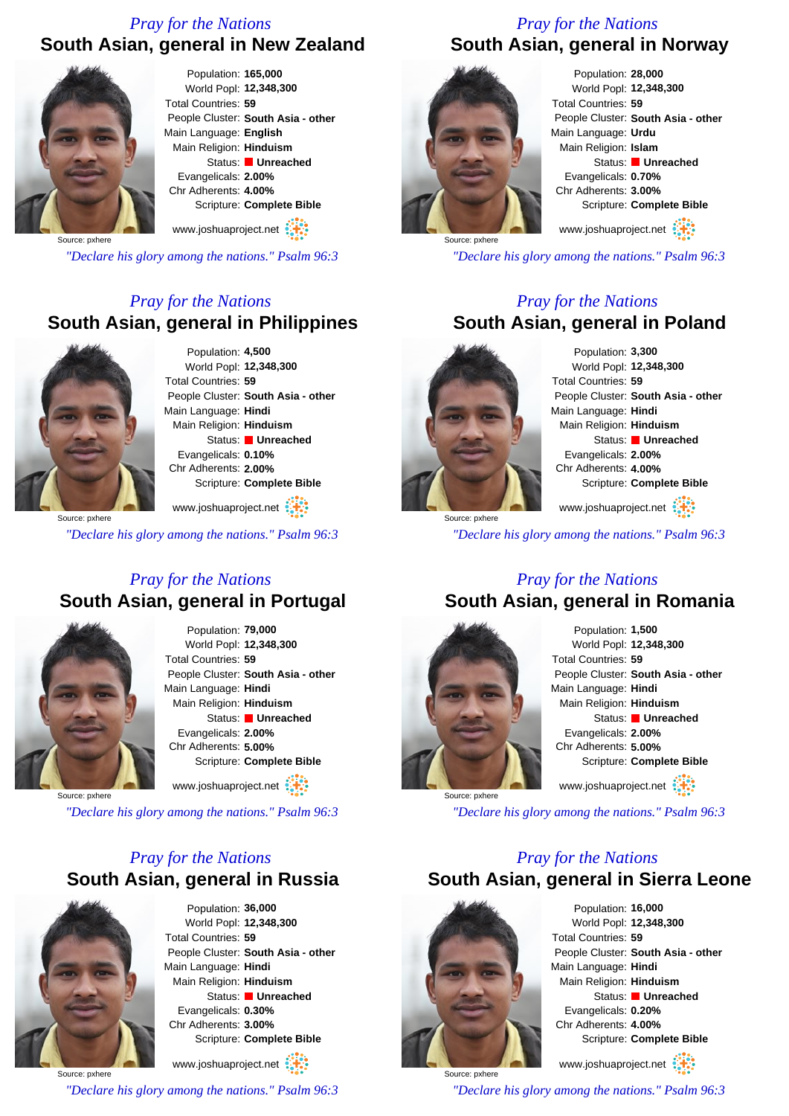### *Pray for the Nations* **South Asian, general in New Zealand**



Population: **165,000** World Popl: **12,348,300** Total Countries: **59** People Cluster: **South Asia - other** Main Language: **English** Main Religion: **Hinduism** Status: **Unreached** Evangelicals: **2.00%** Chr Adherents: **4.00%** Scripture: **Complete Bible**

www.joshuaproject.net

Source: pxhere

*"Declare his glory among the nations." Psalm 96:3*

### *Pray for the Nations* **South Asian, general in Philippines**



Population: **4,500** World Popl: **12,348,300** Total Countries: **59** People Cluster: **South Asia - other** Main Language: **Hindi** Main Religion: **Hinduism** Status: **Unreached** Evangelicals: **0.10%** Chr Adherents: **2.00%** Scripture: **Complete Bible**

Source: pxhere www.joshuaproject.net

*"Declare his glory among the nations." Psalm 96:3*

### *Pray for the Nations* **South Asian, general in Portugal**



Population: **79,000** World Popl: **12,348,300** Total Countries: **59** People Cluster: **South Asia - other** Main Language: **Hindi** Main Religion: **Hinduism** Status: **Unreached** Evangelicals: **2.00%** Chr Adherents: **5.00%** Scripture: **Complete Bible** www.joshuaproject.net

Source: pxhere

*"Declare his glory among the nations." Psalm 96:3*

### *Pray for the Nations* **South Asian, general in Russia**



Population: **36,000** World Popl: **12,348,300** Total Countries: **59** People Cluster: **South Asia - other** Main Language: **Hindi** Main Religion: **Hinduism** Status: **Unreached** Evangelicals: **0.30%** Chr Adherents: **3.00%** Scripture: **Complete Bible**

Source: pxhere www.joshuaproject.net

*"Declare his glory among the nations." Psalm 96:3*

### *Pray for the Nations* **South Asian, general in Norway**



Population: **28,000** World Popl: **12,348,300** Total Countries: **59** People Cluster: **South Asia - other** Main Language: **Urdu** Main Religion: **Islam** Status: **Unreached** Evangelicals: **0.70%** Chr Adherents: **3.00%** Scripture: **Complete Bible**

www.joshuaproject.net

*"Declare his glory among the nations." Psalm 96:3*

### *Pray for the Nations* **South Asian, general in Poland**



Source: pxhere

Population: **3,300** World Popl: **12,348,300** Total Countries: **59** People Cluster: **South Asia - other** Main Language: **Hindi** Main Religion: **Hinduism** Status: **Unreached** Evangelicals: **2.00%** Chr Adherents: **4.00%** Scripture: **Complete Bible**

www.joshuaproject.net

*"Declare his glory among the nations." Psalm 96:3*

### *Pray for the Nations* **South Asian, general in Romania**



Population: **1,500** World Popl: **12,348,300** Total Countries: **59** People Cluster: **South Asia - other** Main Language: **Hindi** Main Religion: **Hinduism** Status: **Unreached** Evangelicals: **2.00%** Chr Adherents: **5.00%** Scripture: **Complete Bible** www.joshuaproject.net

*"Declare his glory among the nations." Psalm 96:3*

### *Pray for the Nations* **South Asian, general in Sierra Leone**



Population: **16,000** World Popl: **12,348,300** Total Countries: **59** People Cluster: **South Asia - other** Main Language: **Hindi** Main Religion: **Hinduism** Status: **Unreached** Evangelicals: **0.20%** Chr Adherents: **4.00%** Scripture: **Complete Bible** www.joshuaproject.net

Source: pxhere *"Declare his glory among the nations." Psalm 96:3*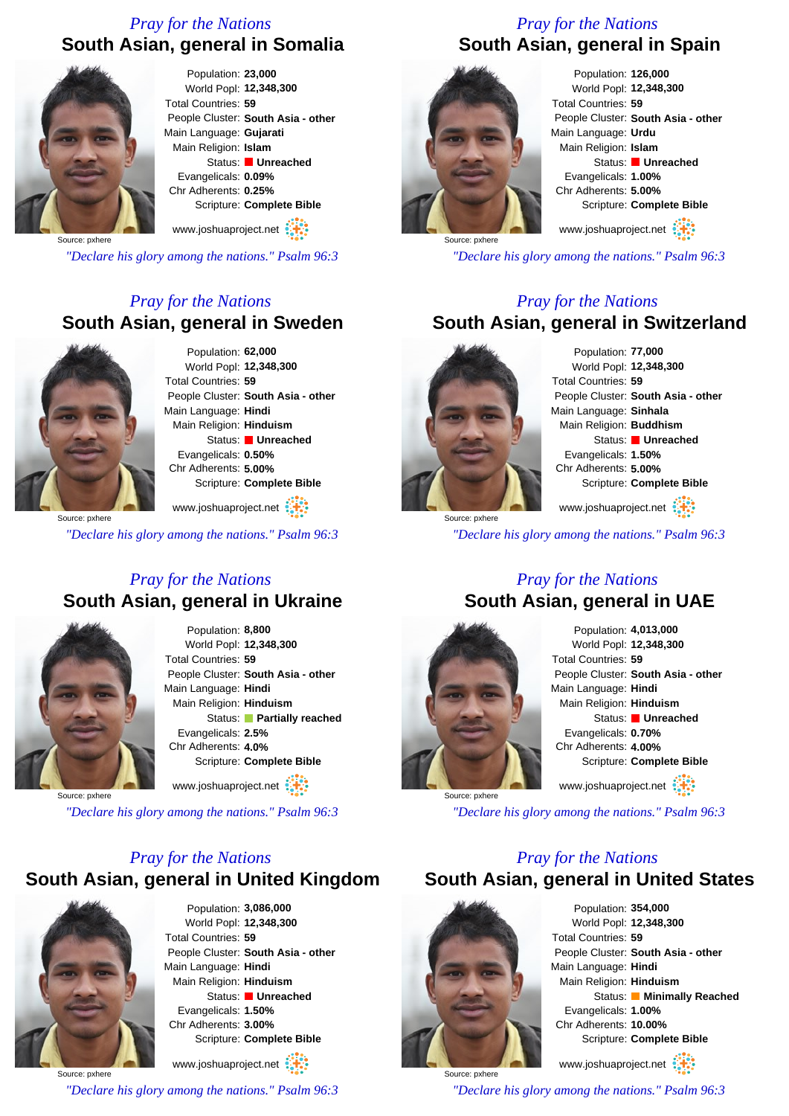### *Pray for the Nations* **South Asian, general in Somalia**



Population: **23,000** World Popl: **12,348,300** Total Countries: **59** People Cluster: **South Asia - other** Main Language: **Gujarati** Main Religion: **Islam** Status: **Unreached** Evangelicals: **0.09%** Chr Adherents: **0.25%** Scripture: **Complete Bible**

www.joshuaproject.net

Source: pxhere

*"Declare his glory among the nations." Psalm 96:3*

### *Pray for the Nations* **South Asian, general in Sweden**



Population: **62,000** World Popl: **12,348,300** Total Countries: **59** People Cluster: **South Asia - other** Main Language: **Hindi** Main Religion: **Hinduism** Status: **Unreached** Evangelicals: **0.50%** Chr Adherents: **5.00%** Scripture: **Complete Bible** www.joshuaproject.net

Source: pxhere

*"Declare his glory among the nations." Psalm 96:3*

### *Pray for the Nations* **South Asian, general in Ukraine**



Population: **8,800** World Popl: **12,348,300** Total Countries: **59** People Cluster: **South Asia - other** Main Language: **Hindi** Main Religion: **Hinduism** Status: **Partially reached** Evangelicals: **2.5%** Chr Adherents: **4.0%** Scripture: **Complete Bible**

www.joshuaproject.net

Source: pxhere

*"Declare his glory among the nations." Psalm 96:3*

### *Pray for the Nations* **South Asian, general in United Kingdom**



Population: **3,086,000** World Popl: **12,348,300** Total Countries: **59** People Cluster: **South Asia - other** Main Language: **Hindi** Main Religion: **Hinduism** Status: **Unreached** Evangelicals: **1.50%** Chr Adherents: **3.00%** Scripture: **Complete Bible**

Source: pxhere www.joshuaproject.net *"Declare his glory among the nations." Psalm 96:3*

### *Pray for the Nations* **South Asian, general in Spain**



Population: **126,000** World Popl: **12,348,300** Total Countries: **59** People Cluster: **South Asia - other** Main Language: **Urdu** Main Religion: **Islam** Status: **Unreached** Evangelicals: **1.00%** Chr Adherents: **5.00%** Scripture: **Complete Bible**

www.joshuaproject.net

*"Declare his glory among the nations." Psalm 96:3*

### *Pray for the Nations*

### **South Asian, general in Switzerland**



Source: pxhere

Population: **77,000** World Popl: **12,348,300** Total Countries: **59** People Cluster: **South Asia - other** Main Language: **Sinhala** Main Religion: **Buddhism** Status: **Unreached** Evangelicals: **1.50%** Chr Adherents: **5.00%** Scripture: **Complete Bible** www.joshuaproject.net

*"Declare his glory among the nations." Psalm 96:3*

### *Pray for the Nations* **South Asian, general in UAE**



Population: **4,013,000** World Popl: **12,348,300** Total Countries: **59** People Cluster: **South Asia - other** Main Language: **Hindi** Main Religion: **Hinduism** Status: **Unreached** Evangelicals: **0.70%** Chr Adherents: **4.00%** Scripture: **Complete Bible** www.joshuaproject.net

*"Declare his glory among the nations." Psalm 96:3*

### *Pray for the Nations*

**South Asian, general in United States**



Population: **354,000** World Popl: **12,348,300** Total Countries: **59** People Cluster: **South Asia - other** Main Language: **Hindi** Main Religion: **Hinduism** Status: **Minimally Reached** Evangelicals: **1.00%** Chr Adherents: **10.00%** Scripture: **Complete Bible** www.joshuaproject.net

Source: pxhere *"Declare his glory among the nations." Psalm 96:3*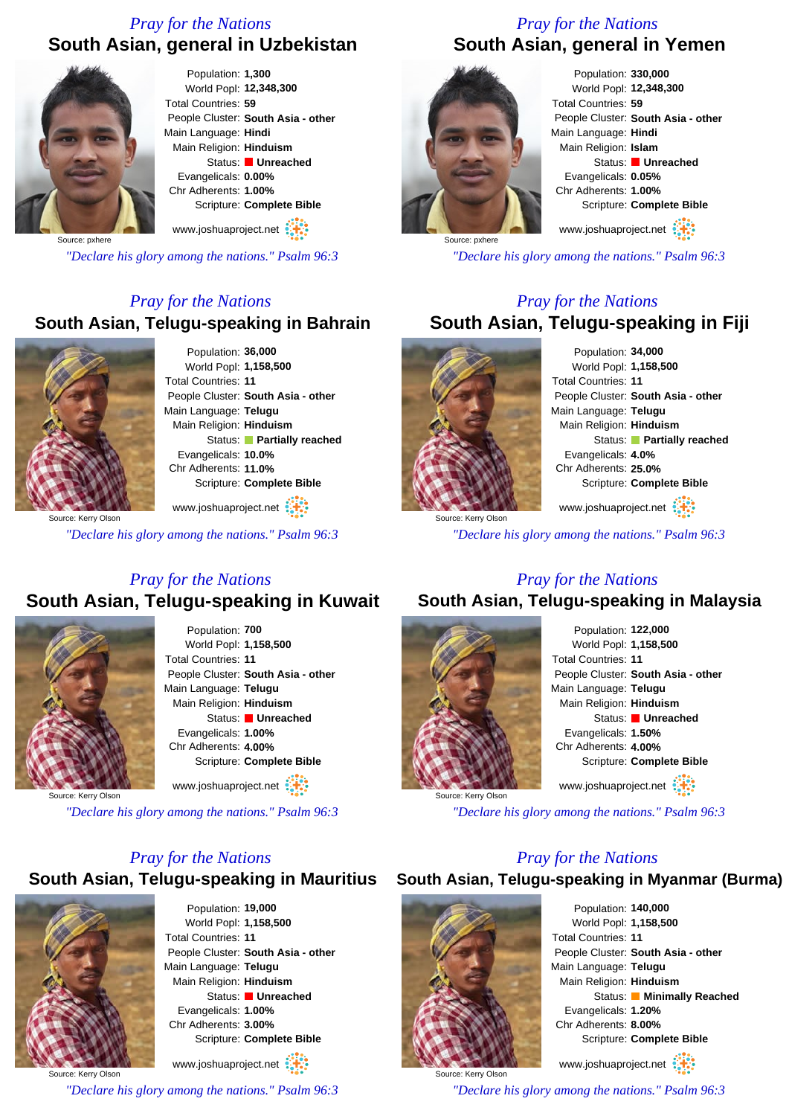### *Pray for the Nations* **South Asian, general in Uzbekistan**



Population: **1,300** World Popl: **12,348,300** Total Countries: **59** People Cluster: **South Asia - other** Main Language: **Hindi** Main Religion: **Hinduism** Status: **Unreached** Evangelicals: **0.00%** Chr Adherents: **1.00%** Scripture: **Complete Bible** www.joshuaproject.net

Source: pxhere

*"Declare his glory among the nations." Psalm 96:3*

### *Pray for the Nations* **South Asian, Telugu-speaking in Bahrain**



Population: **36,000** World Popl: **1,158,500** Total Countries: **11** People Cluster: **South Asia - other** Main Language: **Telugu** Main Religion: **Hinduism** Status: **Partially reached** Evangelicals: **10.0%** Chr Adherents: **11.0%** Scripture: **Complete Bible**

Source: Kerry Olson www.joshuaproject.net

*"Declare his glory among the nations." Psalm 96:3*

### *Pray for the Nations* **South Asian, Telugu-speaking in Kuwait**



Population: **700** World Popl: **1,158,500** Total Countries: **11** People Cluster: **South Asia - other** Main Language: **Telugu** Main Religion: **Hinduism** Status: **Unreached** Evangelicals: **1.00%** Chr Adherents: **4.00%** Scripture: **Complete Bible** www.joshuaproject.net

Source: Kerry Olson

*"Declare his glory among the nations." Psalm 96:3*

### *Pray for the Nations*

### **South Asian, Telugu-speaking in Mauritius**



Population: **19,000** World Popl: **1,158,500** Total Countries: **11** People Cluster: **South Asia - other** Main Language: **Telugu** Main Religion: **Hinduism** Status: **Unreached** Evangelicals: **1.00%** Chr Adherents: **3.00%** Scripture: **Complete Bible**

Source: Kerry Olson www.joshuaproject.net *"Declare his glory among the nations." Psalm 96:3*

### *Pray for the Nations* **South Asian, general in Yemen**



Population: **330,000** World Popl: **12,348,300** Total Countries: **59** People Cluster: **South Asia - other** Main Language: **Hindi** Main Religion: **Islam** Status: **Unreached** Evangelicals: **0.05%** Chr Adherents: **1.00%** Scripture: **Complete Bible**

www.joshuaproject.net

*"Declare his glory among the nations." Psalm 96:3*

### *Pray for the Nations* **South Asian, Telugu-speaking in Fiji**



Population: **34,000** World Popl: **1,158,500** Total Countries: **11** People Cluster: **South Asia - other** Main Language: **Telugu** Main Religion: **Hinduism** Status: **Partially reached** Evangelicals: **4.0%** Chr Adherents: **25.0%** Scripture: **Complete Bible** www.joshuaproject.net

*"Declare his glory among the nations." Psalm 96:3*

### *Pray for the Nations*

### **South Asian, Telugu-speaking in Malaysia**



Population: **122,000** World Popl: **1,158,500** Total Countries: **11** People Cluster: **South Asia - other** Main Language: **Telugu** Main Religion: **Hinduism** Status: **Unreached** Evangelicals: **1.50%** Chr Adherents: **4.00%** Scripture: **Complete Bible** www.joshuaproject.net

*"Declare his glory among the nations." Psalm 96:3*

### *Pray for the Nations*

**South Asian, Telugu-speaking in Myanmar (Burma)**



Population: **140,000** World Popl: **1,158,500** Total Countries: **11** People Cluster: **South Asia - other** Main Language: **Telugu** Main Religion: **Hinduism** Status: **Minimally Reached** Evangelicals: **1.20%** Chr Adherents: **8.00%** Scripture: **Complete Bible**

www.joshuaproject.net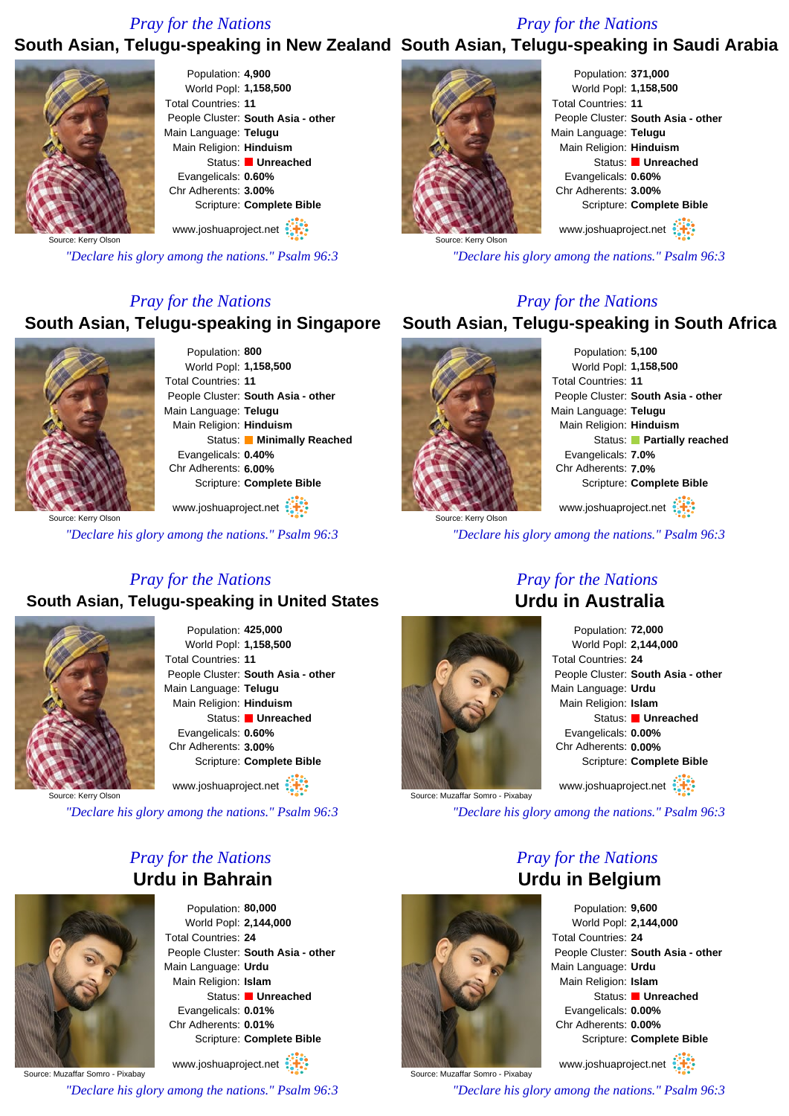### *Pray for the Nations*

### *Pray for the Nations*

### **South Asian, Telugu-speaking in New Zealand South Asian, Telugu-speaking in Saudi Arabia**



Population: **4,900** World Popl: **1,158,500** Total Countries: **11** People Cluster: **South Asia - other** Main Language: **Telugu** Main Religion: **Hinduism** Status: **Unreached** Evangelicals: **0.60%** Chr Adherents: **3.00%** Scripture: **Complete Bible** www.joshuaproject.net

Source: Kerry Olson

*"Declare his glory among the nations." Psalm 96:3*

### *Pray for the Nations*

### **South Asian, Telugu-speaking in Singapore**



Population: **800** World Popl: **1,158,500** Total Countries: **11** People Cluster: **South Asia - other** Main Language: **Telugu** Main Religion: **Hinduism** Status: **Minimally Reached** Evangelicals: **0.40%** Chr Adherents: **6.00%** Scripture: **Complete Bible**

www.joshuaproject.net

*"Declare his glory among the nations." Psalm 96:3*

### *Pray for the Nations*

### **South Asian, Telugu-speaking in United States**



Population: **425,000** World Popl: **1,158,500** Total Countries: **11** People Cluster: **South Asia - other** Main Language: **Telugu** Main Religion: **Hinduism** Status: **Unreached** Evangelicals: **0.60%** Chr Adherents: **3.00%** Scripture: **Complete Bible** www.joshuaproject.net

Source: Kerry Olson

*"Declare his glory among the nations." Psalm 96:3*

### *Pray for the Nations* **Urdu in Bahrain**



Population: **80,000** World Popl: **2,144,000** Total Countries: **24** People Cluster: **South Asia - other** Main Language: **Urdu** Main Religion: **Islam** Status: **Unreached** Evangelicals: **0.01%** Chr Adherents: **0.01%** Scripture: **Complete Bible**

Source: Muzaffar Somro - Pixabay www.joshuaproject.net *"Declare his glory among the nations." Psalm 96:3*



Population: **371,000** World Popl: **1,158,500** Total Countries: **11** People Cluster: **South Asia - other** Main Language: **Telugu** Main Religion: **Hinduism** Status: **Unreached** Evangelicals: **0.60%** Chr Adherents: **3.00%** Scripture: **Complete Bible**

www.joshuaproject.net

*"Declare his glory among the nations." Psalm 96:3*

### *Pray for the Nations*

### **South Asian, Telugu-speaking in South Africa**



Population: **5,100** World Popl: **1,158,500** Total Countries: **11** People Cluster: **South Asia - other** Main Language: **Telugu** Main Religion: **Hinduism** Status: **Partially reached** Evangelicals: **7.0%** Chr Adherents: **7.0%** Scripture: **Complete Bible**

www.joshuaproject.net

*"Declare his glory among the nations." Psalm 96:3*



### *Pray for the Nations* **Urdu in Australia**

Population: **72,000** World Popl: **2,144,000** Total Countries: **24** People Cluster: **South Asia - other** Main Language: **Urdu** Main Religion: **Islam** Status: **Unreached** Evangelicals: **0.00%** Chr Adherents: **0.00%** Scripture: **Complete Bible** www.joshuaproject.net

Source: Muzaffar Somro - Pixabay

*"Declare his glory among the nations." Psalm 96:3*

*Pray for the Nations*



Population: **9,600** World Popl: **2,144,000** Total Countries: **24** People Cluster: **South Asia - other** Main Language: **Urdu** Main Religion: **Islam** Status: **Unreached** Evangelicals: **0.00%** Chr Adherents: **0.00%** Scripture: **Complete Bible**

www.joshuaproject.net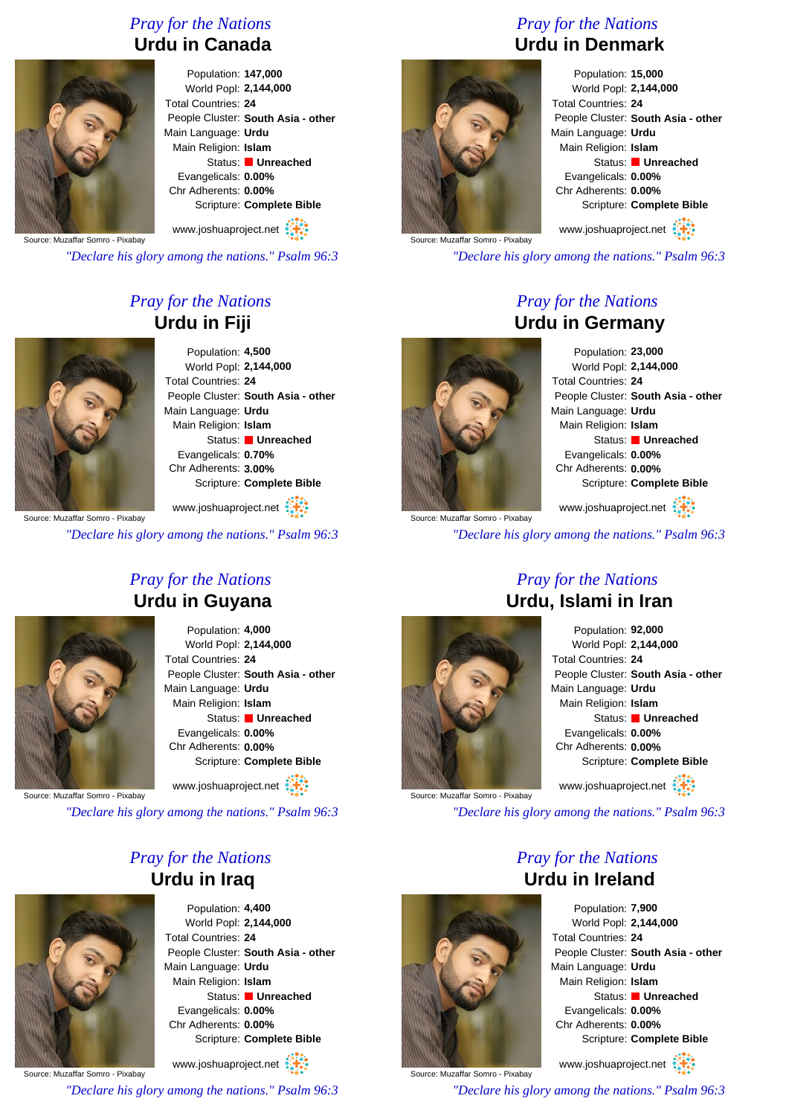### *Pray for the Nations* **Urdu in Canada**



### Population: **147,000** World Popl: **2,144,000** Total Countries: **24** People Cluster: **South Asia - other** Main Language: **Urdu** Main Religion: **Islam** Status: **Unreached** Evangelicals: **0.00%** Chr Adherents: **0.00%** Scripture: **Complete Bible**

Source: Muzaffar Somro - Pixabay www.joshuaproject.net

*"Declare his glory among the nations." Psalm 96:3*

### *Pray for the Nations* **Urdu in Fiji**



Population: **4,500** World Popl: **2,144,000** Total Countries: **24** People Cluster: **South Asia - other** Main Language: **Urdu** Main Religion: **Islam** Status: **Unreached** Evangelicals: **0.70%** Chr Adherents: **3.00%** Scripture: **Complete Bible**

Source: Muzaffar Somro - Pixabay www.joshuaproject.net

*"Declare his glory among the nations." Psalm 96:3*

### *Pray for the Nations* **Urdu in Guyana**



Population: **4,000** World Popl: **2,144,000** Total Countries: **24** People Cluster: **South Asia - other** Main Language: **Urdu** Main Religion: **Islam** Status: **Unreached** Evangelicals: **0.00%** Chr Adherents: **0.00%** Scripture: **Complete Bible**

www.joshuaproject.net

Source: Muzaffar Somro - Pixabay

*"Declare his glory among the nations." Psalm 96:3*

### *Pray for the Nations* **Urdu in Iraq**



Population: **4,400** World Popl: **2,144,000** Total Countries: **24** People Cluster: **South Asia - other** Main Language: **Urdu** Main Religion: **Islam** Status: **Unreached** Evangelicals: **0.00%** Chr Adherents: **0.00%** Scripture: **Complete Bible**

Source: Muzaffar Somro - Pixabay www.joshuaproject.net *"Declare his glory among the nations." Psalm 96:3*

### *Pray for the Nations* **Urdu in Denmark**



Population: **15,000** World Popl: **2,144,000** Total Countries: **24** People Cluster: **South Asia - other** Main Language: **Urdu** Main Religion: **Islam** Status: **Unreached** Evangelicals: **0.00%** Chr Adherents: **0.00%** Scripture: **Complete Bible**

www.joshuaproject.net

*"Declare his glory among the nations." Psalm 96:3*

### *Pray for the Nations* **Urdu in Germany**



Source: Muzaffar Somro - Pixabay

Population: **23,000** World Popl: **2,144,000** Total Countries: **24** People Cluster: **South Asia - other** Main Language: **Urdu** Main Religion: **Islam** Status: **Unreached** Evangelicals: **0.00%** Chr Adherents: **0.00%** Scripture: **Complete Bible**

www.joshuaproject.net

*"Declare his glory among the nations." Psalm 96:3*



### *Pray for the Nations* **Urdu, Islami in Iran**

Population: **92,000** World Popl: **2,144,000** Total Countries: **24** People Cluster: **South Asia - other** Main Language: **Urdu** Main Religion: **Islam** Status: **Unreached** Evangelicals: **0.00%** Chr Adherents: **0.00%** Scripture: **Complete Bible** www.joshuaproject.net

Source: Muzaffar Somro - Pixabay

*"Declare his glory among the nations." Psalm 96:3*

*Pray for the Nations*



Source: Muzaffar Somro - Pixabay

Population: **7,900** World Popl: **2,144,000** Total Countries: **24** People Cluster: **South Asia - other** Main Language: **Urdu** Main Religion: **Islam** Status: **Unreached** Evangelicals: **0.00%** Chr Adherents: **0.00%** Scripture: **Complete Bible**

www.joshuaproject.net

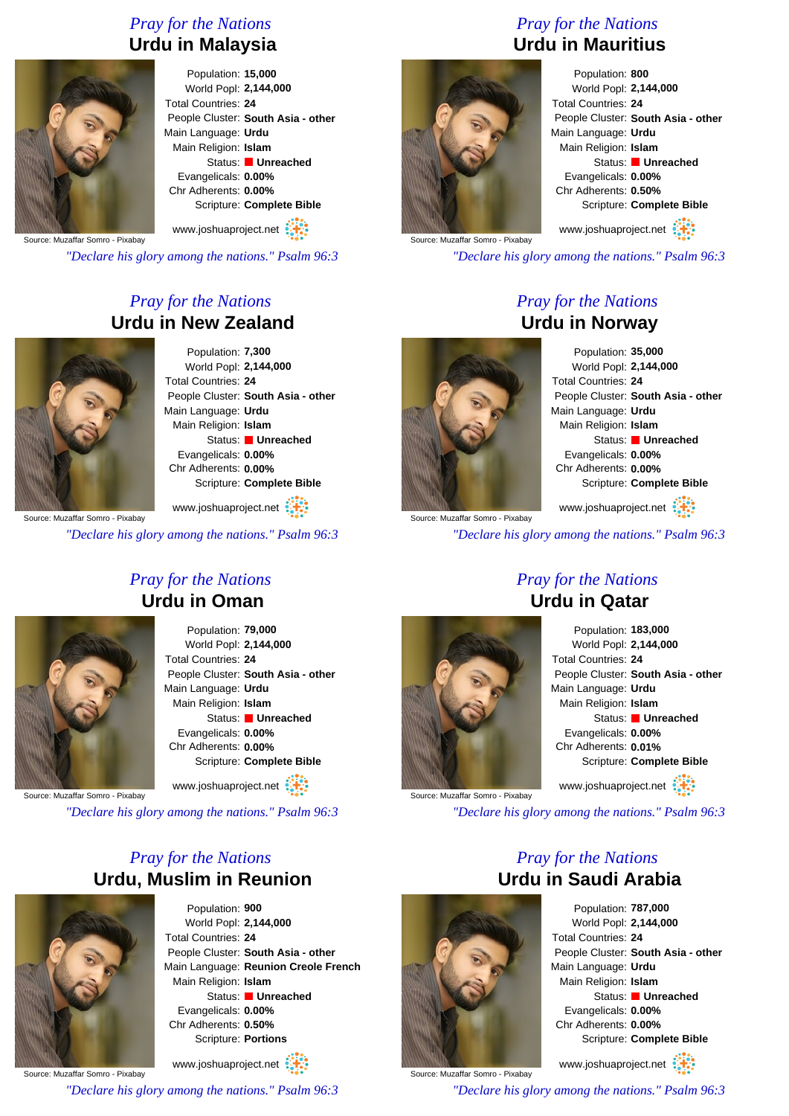### *Pray for the Nations* **Urdu in Malaysia**



Population: **15,000** World Popl: **2,144,000** Total Countries: **24** People Cluster: **South Asia - other** Main Language: **Urdu** Main Religion: **Islam** Status: **Unreached** Evangelicals: **0.00%** Chr Adherents: **0.00%** Scripture: **Complete Bible**

Source: Muzaffar Somro - Pixabay www.joshuaproject.net

*"Declare his glory among the nations." Psalm 96:3*

### *Pray for the Nations* **Urdu in New Zealand**



Source: Muzaffar Somro - Pixabay

Population: **7,300** World Popl: **2,144,000** Total Countries: **24** People Cluster: **South Asia - other** Main Language: **Urdu** Main Religion: **Islam** Status: **Unreached** Evangelicals: **0.00%** Chr Adherents: **0.00%** Scripture: **Complete Bible**

www.joshuaproject.net

*"Declare his glory among the nations." Psalm 96:3*

### *Pray for the Nations* **Urdu in Oman**



Population: **79,000** World Popl: **2,144,000** Total Countries: **24** People Cluster: **South Asia - other** Main Language: **Urdu** Main Religion: **Islam** Status: **Unreached** Evangelicals: **0.00%** Chr Adherents: **0.00%** Scripture: **Complete Bible**

www.joshuaproject.net

Source: Muzaffar Somro - Pixabay

*"Declare his glory among the nations." Psalm 96:3*

### *Pray for the Nations* **Urdu, Muslim in Reunion**



Population: **900** World Popl: **2,144,000** Total Countries: **24** People Cluster: **South Asia - other** Main Language: **Reunion Creole French** Main Religion: **Islam** Status: **Unreached** Evangelicals: **0.00%** Chr Adherents: **0.50%** Scripture: **Portions**

Source: Muzaffar Somro - Pixabay www.joshuaproject.net *"Declare his glory among the nations." Psalm 96:3*

### *Pray for the Nations* **Urdu in Mauritius**



Population: **800** World Popl: **2,144,000** Total Countries: **24** People Cluster: **South Asia - other** Main Language: **Urdu** Main Religion: **Islam** Status: **Unreached** Evangelicals: **0.00%** Chr Adherents: **0.50%** Scripture: **Complete Bible**

www.joshuaproject.net

*"Declare his glory among the nations." Psalm 96:3*

### *Pray for the Nations* **Urdu in Norway**



Source: Muzaffar Somro - Pixabay

Population: **35,000** World Popl: **2,144,000** Total Countries: **24** People Cluster: **South Asia - other** Main Language: **Urdu** Main Religion: **Islam** Status: **Unreached** Evangelicals: **0.00%** Chr Adherents: **0.00%** Scripture: **Complete Bible**

www.joshuaproject.net

*"Declare his glory among the nations." Psalm 96:3*

# **Urdu in Qatar**



Population: **183,000** World Popl: **2,144,000** Total Countries: **24** People Cluster: **South Asia - other** Main Language: **Urdu** Main Religion: **Islam** Status: **Unreached** Evangelicals: **0.00%** Chr Adherents: **0.01%** Scripture: **Complete Bible** www.joshuaproject.net

*"Declare his glory among the nations." Psalm 96:3*

*Pray for the Nations*



Population: **787,000** World Popl: **2,144,000** Total Countries: **24** People Cluster: **South Asia - other** Main Language: **Urdu** Main Religion: **Islam** Status: **Unreached** Evangelicals: **0.00%** Chr Adherents: **0.00%** Scripture: **Complete Bible**

www.joshuaproject.net

*"Declare his glory among the nations." Psalm 96:3*

# *Pray for the Nations*